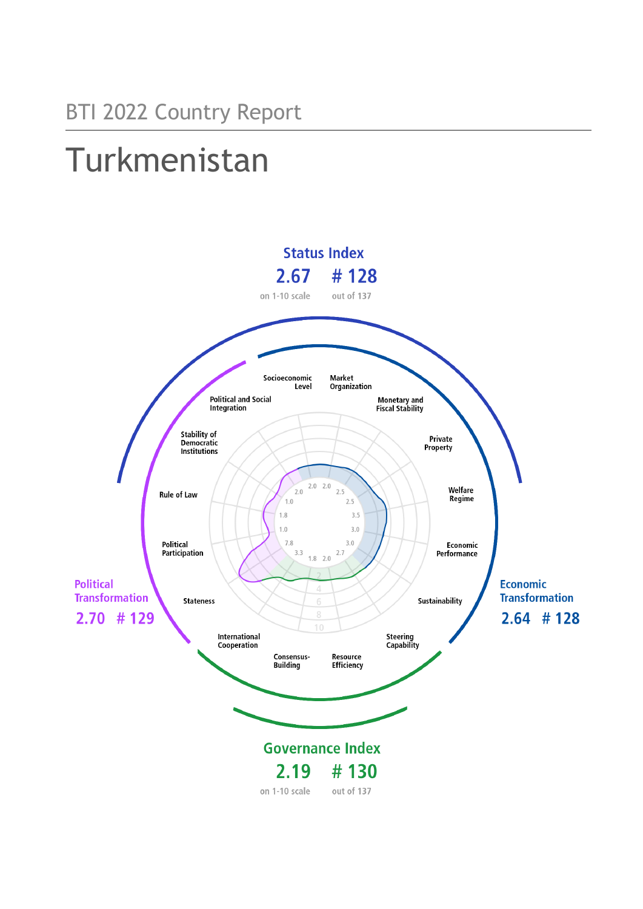# Turkmenistan

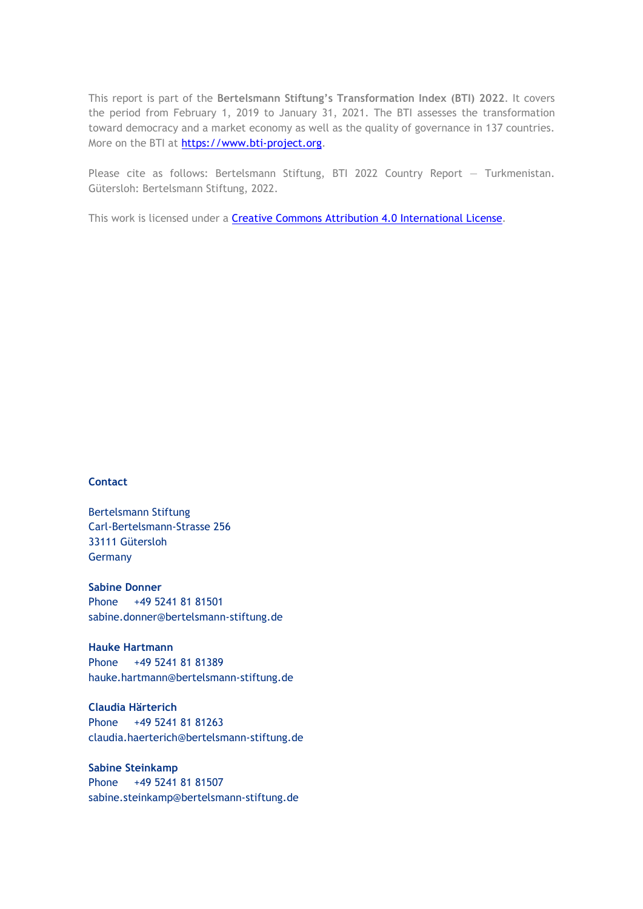This report is part of the **Bertelsmann Stiftung's Transformation Index (BTI) 2022**. It covers the period from February 1, 2019 to January 31, 2021. The BTI assesses the transformation toward democracy and a market economy as well as the quality of governance in 137 countries. More on the BTI at [https://www.bti-project.org.](https://www.bti-project.org/)

Please cite as follows: Bertelsmann Stiftung, BTI 2022 Country Report — Turkmenistan. Gütersloh: Bertelsmann Stiftung, 2022.

This work is licensed under a **Creative Commons Attribution 4.0 International License**.

#### **Contact**

Bertelsmann Stiftung Carl-Bertelsmann-Strasse 256 33111 Gütersloh Germany

**Sabine Donner** Phone +49 5241 81 81501 sabine.donner@bertelsmann-stiftung.de

**Hauke Hartmann** Phone +49 5241 81 81389 hauke.hartmann@bertelsmann-stiftung.de

**Claudia Härterich** Phone +49 5241 81 81263 claudia.haerterich@bertelsmann-stiftung.de

**Sabine Steinkamp** Phone +49 5241 81 81507 sabine.steinkamp@bertelsmann-stiftung.de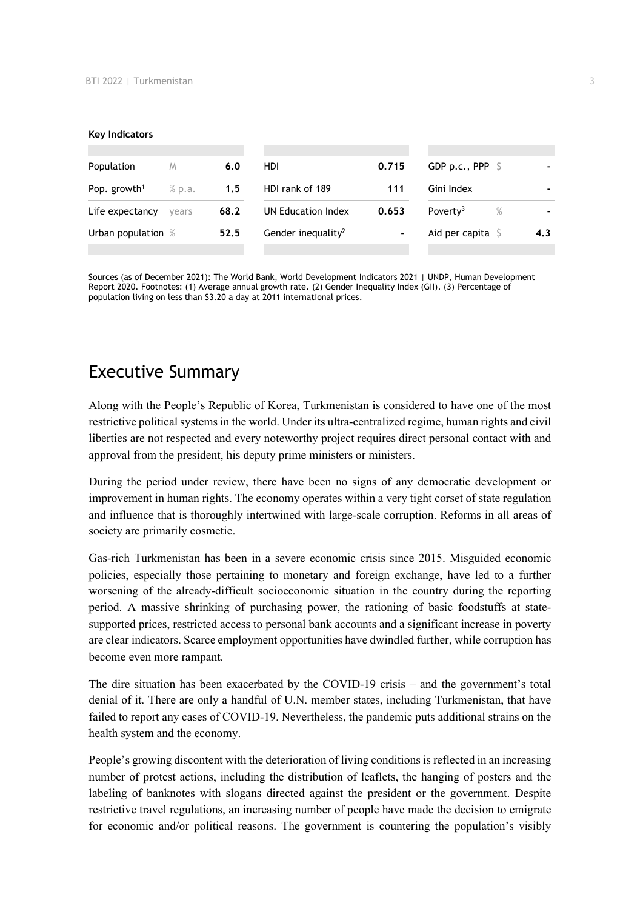#### **Key Indicators**

| Population               | M      | 6.0  | HDI.                           | 0.715 | GDP p.c., PPP $\sqrt{5}$     |     |
|--------------------------|--------|------|--------------------------------|-------|------------------------------|-----|
| Pop. growth <sup>1</sup> | % p.a. | 1.5  | HDI rank of 189                | 111   | Gini Index                   |     |
| Life expectancy          | vears  | 68.2 | UN Education Index             | 0.653 | Poverty <sup>3</sup><br>$\%$ |     |
| Urban population %       |        | 52.5 | Gender inequality <sup>2</sup> | ٠     | Aid per capita $\sqrt{5}$    | 4.3 |
|                          |        |      |                                |       |                              |     |

Sources (as of December 2021): The World Bank, World Development Indicators 2021 | UNDP, Human Development Report 2020. Footnotes: (1) Average annual growth rate. (2) Gender Inequality Index (GII). (3) Percentage of population living on less than \$3.20 a day at 2011 international prices.

# Executive Summary

Along with the People's Republic of Korea, Turkmenistan is considered to have one of the most restrictive political systems in the world. Under its ultra-centralized regime, human rights and civil liberties are not respected and every noteworthy project requires direct personal contact with and approval from the president, his deputy prime ministers or ministers.

During the period under review, there have been no signs of any democratic development or improvement in human rights. The economy operates within a very tight corset of state regulation and influence that is thoroughly intertwined with large-scale corruption. Reforms in all areas of society are primarily cosmetic.

Gas-rich Turkmenistan has been in a severe economic crisis since 2015. Misguided economic policies, especially those pertaining to monetary and foreign exchange, have led to a further worsening of the already-difficult socioeconomic situation in the country during the reporting period. A massive shrinking of purchasing power, the rationing of basic foodstuffs at statesupported prices, restricted access to personal bank accounts and a significant increase in poverty are clear indicators. Scarce employment opportunities have dwindled further, while corruption has become even more rampant.

The dire situation has been exacerbated by the COVID-19 crisis – and the government's total denial of it. There are only a handful of U.N. member states, including Turkmenistan, that have failed to report any cases of COVID-19. Nevertheless, the pandemic puts additional strains on the health system and the economy.

People's growing discontent with the deterioration of living conditions is reflected in an increasing number of protest actions, including the distribution of leaflets, the hanging of posters and the labeling of banknotes with slogans directed against the president or the government. Despite restrictive travel regulations, an increasing number of people have made the decision to emigrate for economic and/or political reasons. The government is countering the population's visibly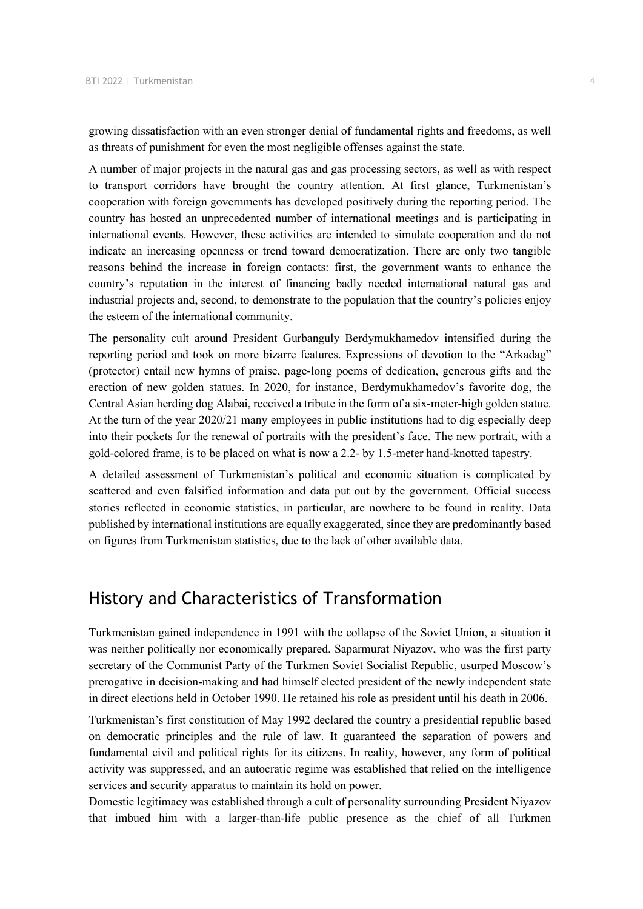growing dissatisfaction with an even stronger denial of fundamental rights and freedoms, as well as threats of punishment for even the most negligible offenses against the state.

A number of major projects in the natural gas and gas processing sectors, as well as with respect to transport corridors have brought the country attention. At first glance, Turkmenistan's cooperation with foreign governments has developed positively during the reporting period. The country has hosted an unprecedented number of international meetings and is participating in international events. However, these activities are intended to simulate cooperation and do not indicate an increasing openness or trend toward democratization. There are only two tangible reasons behind the increase in foreign contacts: first, the government wants to enhance the country's reputation in the interest of financing badly needed international natural gas and industrial projects and, second, to demonstrate to the population that the country's policies enjoy the esteem of the international community.

The personality cult around President Gurbanguly Berdymukhamedov intensified during the reporting period and took on more bizarre features. Expressions of devotion to the "Arkadag" (protector) entail new hymns of praise, page-long poems of dedication, generous gifts and the erection of new golden statues. In 2020, for instance, Berdymukhamedov's favorite dog, the Central Asian herding dog Alabai, received a tribute in the form of a six-meter-high golden statue. At the turn of the year 2020/21 many employees in public institutions had to dig especially deep into their pockets for the renewal of portraits with the president's face. The new portrait, with a gold-colored frame, is to be placed on what is now a 2.2- by 1.5-meter hand-knotted tapestry.

A detailed assessment of Turkmenistan's political and economic situation is complicated by scattered and even falsified information and data put out by the government. Official success stories reflected in economic statistics, in particular, are nowhere to be found in reality. Data published by international institutions are equally exaggerated, since they are predominantly based on figures from Turkmenistan statistics, due to the lack of other available data.

# History and Characteristics of Transformation

Turkmenistan gained independence in 1991 with the collapse of the Soviet Union, a situation it was neither politically nor economically prepared. Saparmurat Niyazov, who was the first party secretary of the Communist Party of the Turkmen Soviet Socialist Republic, usurped Moscow's prerogative in decision-making and had himself elected president of the newly independent state in direct elections held in October 1990. He retained his role as president until his death in 2006.

Turkmenistan's first constitution of May 1992 declared the country a presidential republic based on democratic principles and the rule of law. It guaranteed the separation of powers and fundamental civil and political rights for its citizens. In reality, however, any form of political activity was suppressed, and an autocratic regime was established that relied on the intelligence services and security apparatus to maintain its hold on power.

Domestic legitimacy was established through a cult of personality surrounding President Niyazov that imbued him with a larger-than-life public presence as the chief of all Turkmen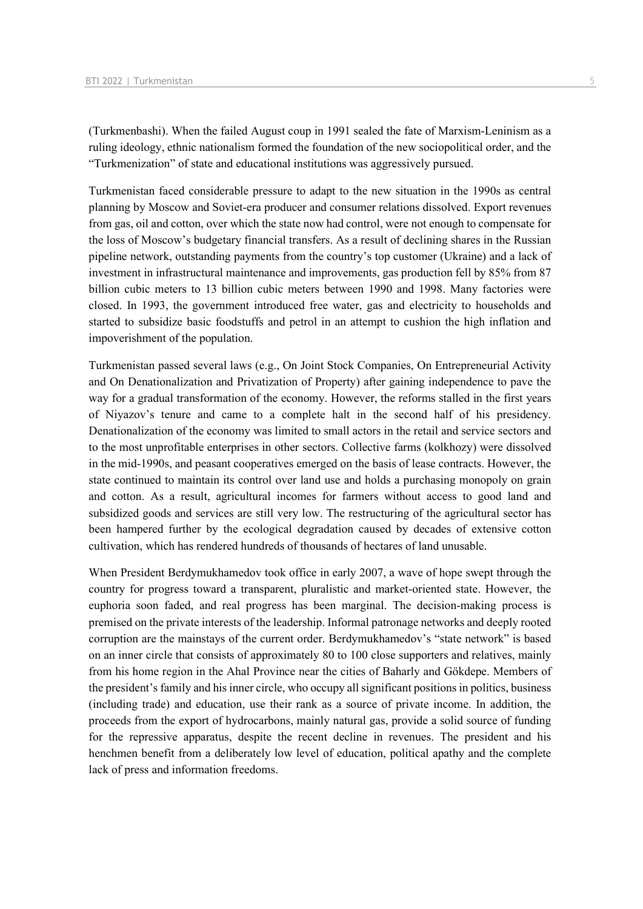(Turkmenbashi). When the failed August coup in 1991 sealed the fate of Marxism-Leninism as a ruling ideology, ethnic nationalism formed the foundation of the new sociopolitical order, and the "Turkmenization" of state and educational institutions was aggressively pursued.

Turkmenistan faced considerable pressure to adapt to the new situation in the 1990s as central planning by Moscow and Soviet-era producer and consumer relations dissolved. Export revenues from gas, oil and cotton, over which the state now had control, were not enough to compensate for the loss of Moscow's budgetary financial transfers. As a result of declining shares in the Russian pipeline network, outstanding payments from the country's top customer (Ukraine) and a lack of investment in infrastructural maintenance and improvements, gas production fell by 85% from 87 billion cubic meters to 13 billion cubic meters between 1990 and 1998. Many factories were closed. In 1993, the government introduced free water, gas and electricity to households and started to subsidize basic foodstuffs and petrol in an attempt to cushion the high inflation and impoverishment of the population.

Turkmenistan passed several laws (e.g., On Joint Stock Companies, On Entrepreneurial Activity and On Denationalization and Privatization of Property) after gaining independence to pave the way for a gradual transformation of the economy. However, the reforms stalled in the first years of Niyazov's tenure and came to a complete halt in the second half of his presidency. Denationalization of the economy was limited to small actors in the retail and service sectors and to the most unprofitable enterprises in other sectors. Collective farms (kolkhozy) were dissolved in the mid-1990s, and peasant cooperatives emerged on the basis of lease contracts. However, the state continued to maintain its control over land use and holds a purchasing monopoly on grain and cotton. As a result, agricultural incomes for farmers without access to good land and subsidized goods and services are still very low. The restructuring of the agricultural sector has been hampered further by the ecological degradation caused by decades of extensive cotton cultivation, which has rendered hundreds of thousands of hectares of land unusable.

When President Berdymukhamedov took office in early 2007, a wave of hope swept through the country for progress toward a transparent, pluralistic and market-oriented state. However, the euphoria soon faded, and real progress has been marginal. The decision-making process is premised on the private interests of the leadership. Informal patronage networks and deeply rooted corruption are the mainstays of the current order. Berdymukhamedov's "state network" is based on an inner circle that consists of approximately 80 to 100 close supporters and relatives, mainly from his home region in the Ahal Province near the cities of Baharly and Gökdepe. Members of the president's family and his inner circle, who occupy all significant positions in politics, business (including trade) and education, use their rank as a source of private income. In addition, the proceeds from the export of hydrocarbons, mainly natural gas, provide a solid source of funding for the repressive apparatus, despite the recent decline in revenues. The president and his henchmen benefit from a deliberately low level of education, political apathy and the complete lack of press and information freedoms.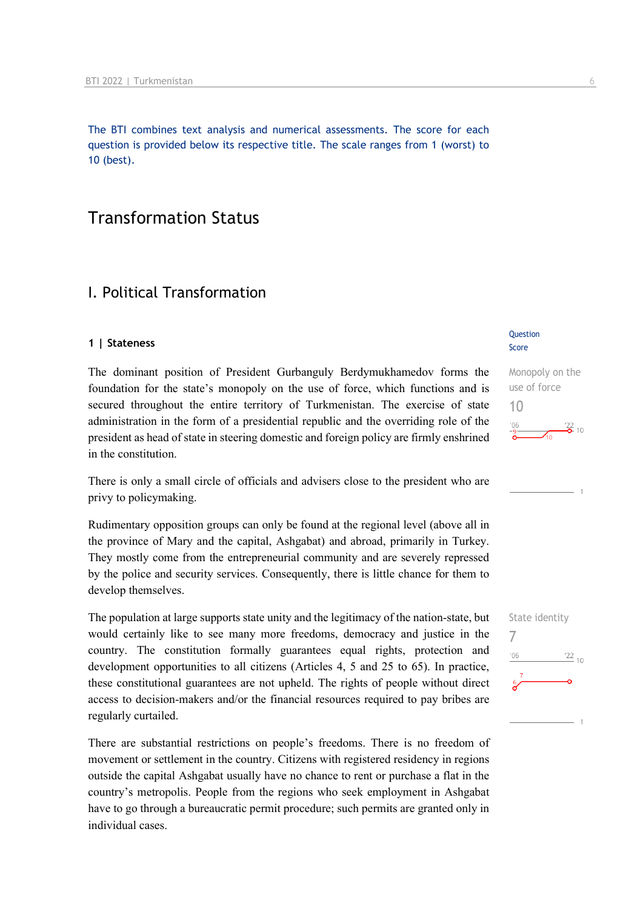The BTI combines text analysis and numerical assessments. The score for each question is provided below its respective title. The scale ranges from 1 (worst) to 10 (best).

# Transformation Status

# I. Political Transformation

#### **1 | Stateness**

The dominant position of President Gurbanguly Berdymukhamedov forms the foundation for the state's monopoly on the use of force, which functions and is secured throughout the entire territory of Turkmenistan. The exercise of state administration in the form of a presidential republic and the overriding role of the president as head of state in steering domestic and foreign policy are firmly enshrined in the constitution.

There is only a small circle of officials and advisers close to the president who are privy to policymaking.

Rudimentary opposition groups can only be found at the regional level (above all in the province of Mary and the capital, Ashgabat) and abroad, primarily in Turkey. They mostly come from the entrepreneurial community and are severely repressed by the police and security services. Consequently, there is little chance for them to develop themselves.

The population at large supports state unity and the legitimacy of the nation-state, but would certainly like to see many more freedoms, democracy and justice in the country. The constitution formally guarantees equal rights, protection and development opportunities to all citizens (Articles 4, 5 and 25 to 65). In practice, these constitutional guarantees are not upheld. The rights of people without direct access to decision-makers and/or the financial resources required to pay bribes are regularly curtailed.

There are substantial restrictions on people's freedoms. There is no freedom of movement or settlement in the country. Citizens with registered residency in regions outside the capital Ashgabat usually have no chance to rent or purchase a flat in the country's metropolis. People from the regions who seek employment in Ashgabat have to go through a bureaucratic permit procedure; such permits are granted only in individual cases.

#### **Question** Score

# Monopoly on the use of force 10  $\frac{122}{2}$  10

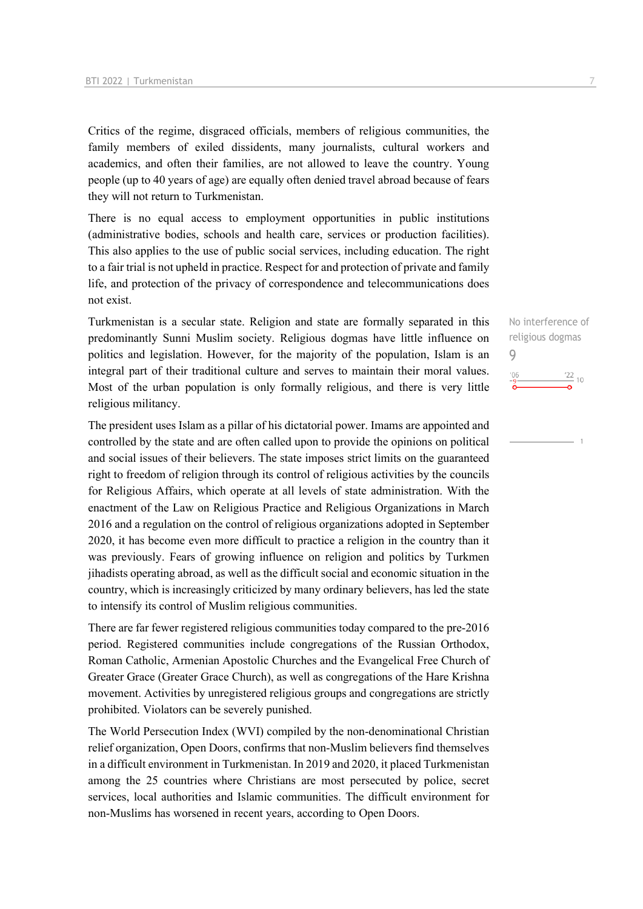Critics of the regime, disgraced officials, members of religious communities, the family members of exiled dissidents, many journalists, cultural workers and academics, and often their families, are not allowed to leave the country. Young people (up to 40 years of age) are equally often denied travel abroad because of fears they will not return to Turkmenistan.

There is no equal access to employment opportunities in public institutions (administrative bodies, schools and health care, services or production facilities). This also applies to the use of public social services, including education. The right to a fair trial is not upheld in practice. Respect for and protection of private and family life, and protection of the privacy of correspondence and telecommunications does not exist.

Turkmenistan is a secular state. Religion and state are formally separated in this predominantly Sunni Muslim society. Religious dogmas have little influence on politics and legislation. However, for the majority of the population, Islam is an integral part of their traditional culture and serves to maintain their moral values. Most of the urban population is only formally religious, and there is very little religious militancy.

The president uses Islam as a pillar of his dictatorial power. Imams are appointed and controlled by the state and are often called upon to provide the opinions on political and social issues of their believers. The state imposes strict limits on the guaranteed right to freedom of religion through its control of religious activities by the councils for Religious Affairs, which operate at all levels of state administration. With the enactment of the Law on Religious Practice and Religious Organizations in March 2016 and a regulation on the control of religious organizations adopted in September 2020, it has become even more difficult to practice a religion in the country than it was previously. Fears of growing influence on religion and politics by Turkmen jihadists operating abroad, as well as the difficult social and economic situation in the country, which is increasingly criticized by many ordinary believers, has led the state to intensify its control of Muslim religious communities.

There are far fewer registered religious communities today compared to the pre-2016 period. Registered communities include congregations of the Russian Orthodox, Roman Catholic, Armenian Apostolic Churches and the Evangelical Free Church of Greater Grace (Greater Grace Church), as well as congregations of the Hare Krishna movement. Activities by unregistered religious groups and congregations are strictly prohibited. Violators can be severely punished.

The World Persecution Index (WVI) compiled by the non-denominational Christian relief organization, Open Doors, confirms that non-Muslim believers find themselves in a difficult environment in Turkmenistan. In 2019 and 2020, it placed Turkmenistan among the 25 countries where Christians are most persecuted by police, secret services, local authorities and Islamic communities. The difficult environment for non-Muslims has worsened in recent years, according to Open Doors.

No interference of religious dogmas 9 $\frac{22}{10}$  $-06$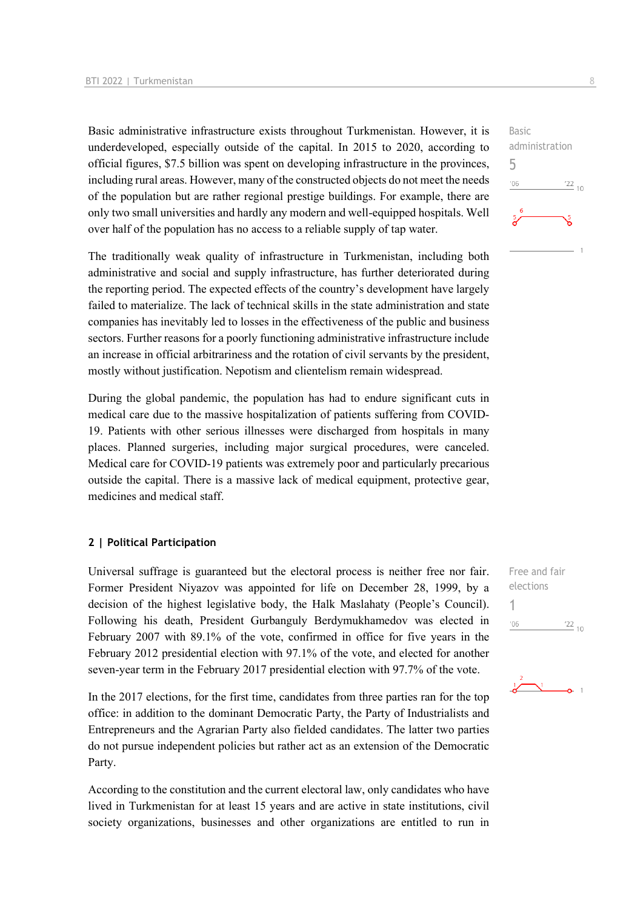Basic administrative infrastructure exists throughout Turkmenistan. However, it is underdeveloped, especially outside of the capital. In 2015 to 2020, according to official figures, \$7.5 billion was spent on developing infrastructure in the provinces, including rural areas. However, many of the constructed objects do not meet the needs of the population but are rather regional prestige buildings. For example, there are only two small universities and hardly any modern and well-equipped hospitals. Well over half of the population has no access to a reliable supply of tap water.

The traditionally weak quality of infrastructure in Turkmenistan, including both administrative and social and supply infrastructure, has further deteriorated during the reporting period. The expected effects of the country's development have largely failed to materialize. The lack of technical skills in the state administration and state companies has inevitably led to losses in the effectiveness of the public and business sectors. Further reasons for a poorly functioning administrative infrastructure include an increase in official arbitrariness and the rotation of civil servants by the president, mostly without justification. Nepotism and clientelism remain widespread.

During the global pandemic, the population has had to endure significant cuts in medical care due to the massive hospitalization of patients suffering from COVID-19. Patients with other serious illnesses were discharged from hospitals in many places. Planned surgeries, including major surgical procedures, were canceled. Medical care for COVID-19 patients was extremely poor and particularly precarious outside the capital. There is a massive lack of medical equipment, protective gear, medicines and medical staff.

#### **2 | Political Participation**

Universal suffrage is guaranteed but the electoral process is neither free nor fair. Former President Niyazov was appointed for life on December 28, 1999, by a decision of the highest legislative body, the Halk Maslahaty (People's Council). Following his death, President Gurbanguly Berdymukhamedov was elected in February 2007 with 89.1% of the vote, confirmed in office for five years in the February 2012 presidential election with 97.1% of the vote, and elected for another seven-year term in the February 2017 presidential election with 97.7% of the vote.

In the 2017 elections, for the first time, candidates from three parties ran for the top office: in addition to the dominant Democratic Party, the Party of Industrialists and Entrepreneurs and the Agrarian Party also fielded candidates. The latter two parties do not pursue independent policies but rather act as an extension of the Democratic Party.

According to the constitution and the current electoral law, only candidates who have lived in Turkmenistan for at least 15 years and are active in state institutions, civil society organizations, businesses and other organizations are entitled to run in





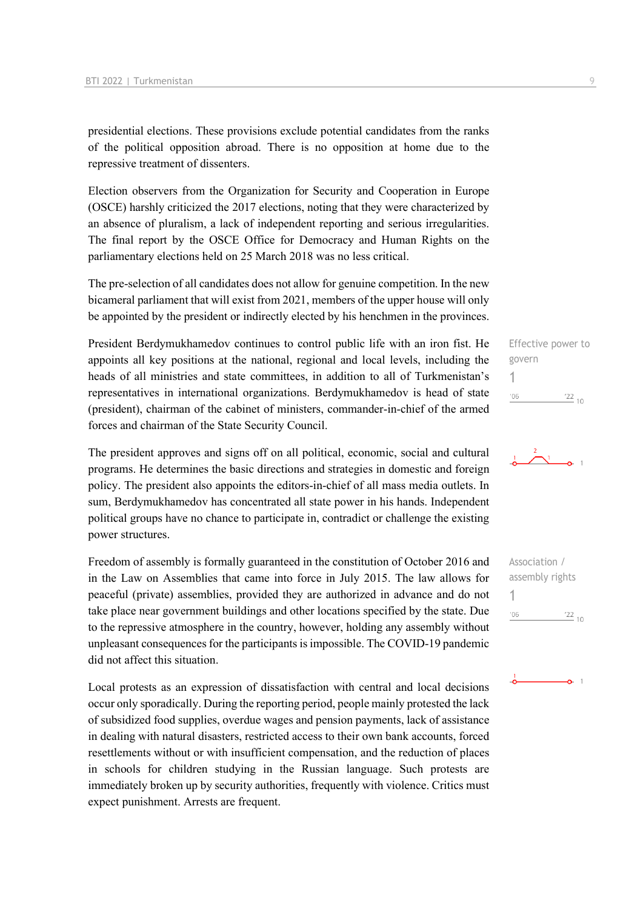presidential elections. These provisions exclude potential candidates from the ranks of the political opposition abroad. There is no opposition at home due to the repressive treatment of dissenters.

Election observers from the Organization for Security and Cooperation in Europe (OSCE) harshly criticized the 2017 elections, noting that they were characterized by an absence of pluralism, a lack of independent reporting and serious irregularities. The final report by the OSCE Office for Democracy and Human Rights on the parliamentary elections held on 25 March 2018 was no less critical.

The pre-selection of all candidates does not allow for genuine competition. In the new bicameral parliament that will exist from 2021, members of the upper house will only be appointed by the president or indirectly elected by his henchmen in the provinces.

President Berdymukhamedov continues to control public life with an iron fist. He appoints all key positions at the national, regional and local levels, including the heads of all ministries and state committees, in addition to all of Turkmenistan's representatives in international organizations. Berdymukhamedov is head of state (president), chairman of the cabinet of ministers, commander-in-chief of the armed forces and chairman of the State Security Council.

The president approves and signs off on all political, economic, social and cultural programs. He determines the basic directions and strategies in domestic and foreign policy. The president also appoints the editors-in-chief of all mass media outlets. In sum, Berdymukhamedov has concentrated all state power in his hands. Independent political groups have no chance to participate in, contradict or challenge the existing power structures.

Freedom of assembly is formally guaranteed in the constitution of October 2016 and in the Law on Assemblies that came into force in July 2015. The law allows for peaceful (private) assemblies, provided they are authorized in advance and do not take place near government buildings and other locations specified by the state. Due to the repressive atmosphere in the country, however, holding any assembly without unpleasant consequences for the participants is impossible. The COVID-19 pandemic did not affect this situation.

Local protests as an expression of dissatisfaction with central and local decisions occur only sporadically. During the reporting period, people mainly protested the lack of subsidized food supplies, overdue wages and pension payments, lack of assistance in dealing with natural disasters, restricted access to their own bank accounts, forced resettlements without or with insufficient compensation, and the reduction of places in schools for children studying in the Russian language. Such protests are immediately broken up by security authorities, frequently with violence. Critics must expect punishment. Arrests are frequent.







 $\sim$  1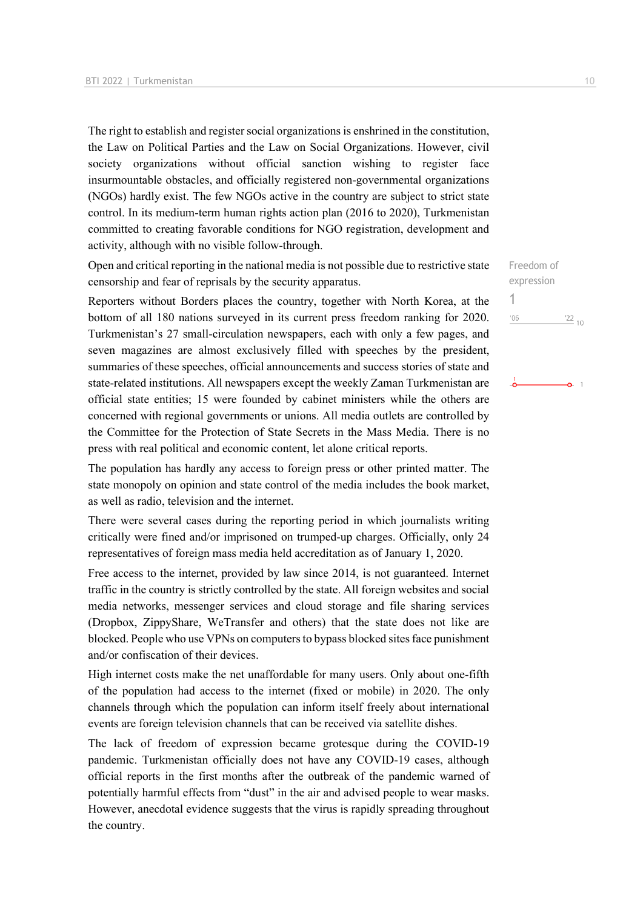The right to establish and register social organizations is enshrined in the constitution, the Law on Political Parties and the Law on Social Organizations. However, civil society organizations without official sanction wishing to register face insurmountable obstacles, and officially registered non-governmental organizations (NGOs) hardly exist. The few NGOs active in the country are subject to strict state control. In its medium-term human rights action plan (2016 to 2020), Turkmenistan committed to creating favorable conditions for NGO registration, development and activity, although with no visible follow-through.

Open and critical reporting in the national media is not possible due to restrictive state censorship and fear of reprisals by the security apparatus.

Reporters without Borders places the country, together with North Korea, at the bottom of all 180 nations surveyed in its current press freedom ranking for 2020. Turkmenistan's 27 small-circulation newspapers, each with only a few pages, and seven magazines are almost exclusively filled with speeches by the president, summaries of these speeches, official announcements and success stories of state and state-related institutions. All newspapers except the weekly Zaman Turkmenistan are official state entities; 15 were founded by cabinet ministers while the others are concerned with regional governments or unions. All media outlets are controlled by the Committee for the Protection of State Secrets in the Mass Media. There is no press with real political and economic content, let alone critical reports.

The population has hardly any access to foreign press or other printed matter. The state monopoly on opinion and state control of the media includes the book market, as well as radio, television and the internet.

There were several cases during the reporting period in which journalists writing critically were fined and/or imprisoned on trumped-up charges. Officially, only 24 representatives of foreign mass media held accreditation as of January 1, 2020.

Free access to the internet, provided by law since 2014, is not guaranteed. Internet traffic in the country is strictly controlled by the state. All foreign websites and social media networks, messenger services and cloud storage and file sharing services (Dropbox, ZippyShare, WeTransfer and others) that the state does not like are blocked. People who use VPNs on computers to bypass blocked sites face punishment and/or confiscation of their devices.

High internet costs make the net unaffordable for many users. Only about one-fifth of the population had access to the internet (fixed or mobile) in 2020. The only channels through which the population can inform itself freely about international events are foreign television channels that can be received via satellite dishes.

The lack of freedom of expression became grotesque during the COVID-19 pandemic. Turkmenistan officially does not have any COVID-19 cases, although official reports in the first months after the outbreak of the pandemic warned of potentially harmful effects from "dust" in the air and advised people to wear masks. However, anecdotal evidence suggests that the virus is rapidly spreading throughout the country.

Freedom of expression 1 $\frac{22}{10}$  $'06$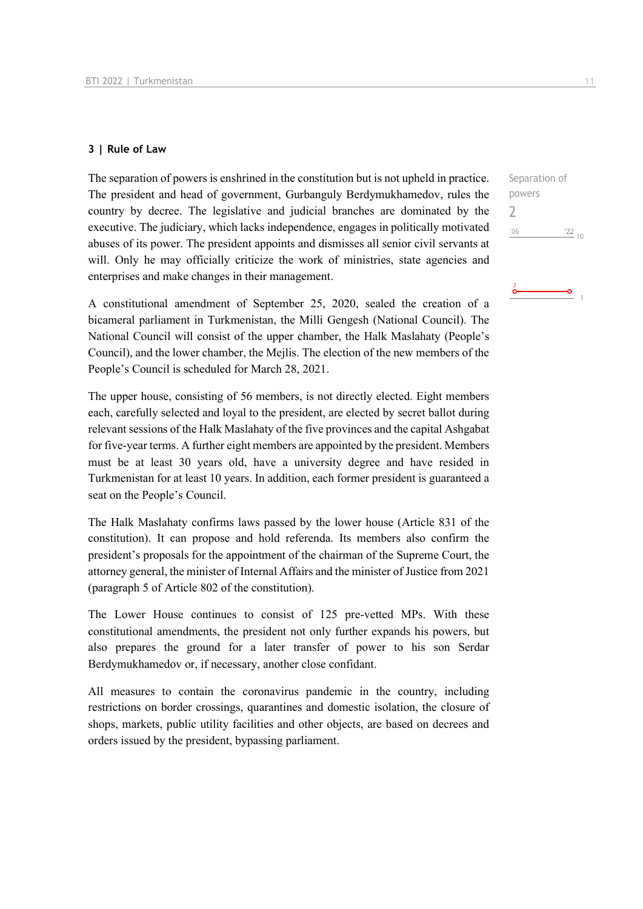#### **3 | Rule of Law**

The separation of powers is enshrined in the constitution but is not upheld in practice. The president and head of government, Gurbanguly Berdymukhamedov, rules the country by decree. The legislative and judicial branches are dominated by the executive. The judiciary, which lacks independence, engages in politically motivated abuses of its power. The president appoints and dismisses all senior civil servants at will. Only he may officially criticize the work of ministries, state agencies and enterprises and make changes in their management.

A constitutional amendment of September 25, 2020, sealed the creation of a bicameral parliament in Turkmenistan, the Milli Gengesh (National Council). The National Council will consist of the upper chamber, the Halk Maslahaty (People's Council), and the lower chamber, the Mejlis. The election of the new members of the People's Council is scheduled for March 28, 2021.

The upper house, consisting of 56 members, is not directly elected. Eight members each, carefully selected and loyal to the president, are elected by secret ballot during relevant sessions of the Halk Maslahaty of the five provinces and the capital Ashgabat for five-year terms. A further eight members are appointed by the president. Members must be at least 30 years old, have a university degree and have resided in Turkmenistan for at least 10 years. In addition, each former president is guaranteed a seat on the People's Council.

The Halk Maslahaty confirms laws passed by the lower house (Article 831 of the constitution). It can propose and hold referenda. Its members also confirm the president's proposals for the appointment of the chairman of the Supreme Court, the attorney general, the minister of Internal Affairs and the minister of Justice from 2021 (paragraph 5 of Article 802 of the constitution).

The Lower House continues to consist of 125 pre-vetted MPs. With these constitutional amendments, the president not only further expands his powers, but also prepares the ground for a later transfer of power to his son Serdar Berdymukhamedov or, if necessary, another close confidant.

All measures to contain the coronavirus pandemic in the country, including restrictions on border crossings, quarantines and domestic isolation, the closure of shops, markets, public utility facilities and other objects, are based on decrees and orders issued by the president, bypassing parliament.

Separation of powers 2 $06'$  $\frac{22}{10}$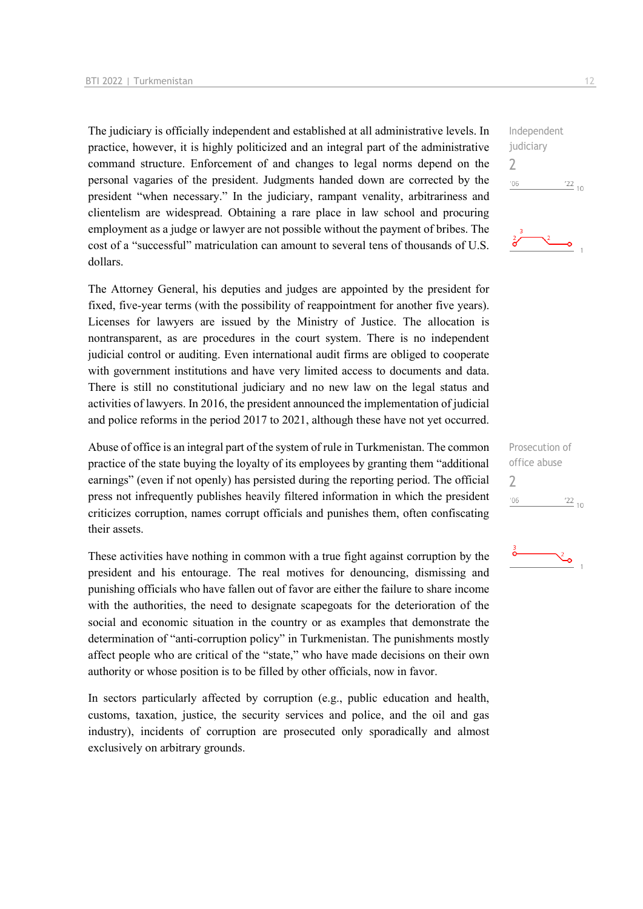The judiciary is officially independent and established at all administrative levels. In practice, however, it is highly politicized and an integral part of the administrative command structure. Enforcement of and changes to legal norms depend on the personal vagaries of the president. Judgments handed down are corrected by the president "when necessary." In the judiciary, rampant venality, arbitrariness and clientelism are widespread. Obtaining a rare place in law school and procuring employment as a judge or lawyer are not possible without the payment of bribes. The cost of a "successful" matriculation can amount to several tens of thousands of U.S. dollars.

The Attorney General, his deputies and judges are appointed by the president for fixed, five-year terms (with the possibility of reappointment for another five years). Licenses for lawyers are issued by the Ministry of Justice. The allocation is nontransparent, as are procedures in the court system. There is no independent judicial control or auditing. Even international audit firms are obliged to cooperate with government institutions and have very limited access to documents and data. There is still no constitutional judiciary and no new law on the legal status and activities of lawyers. In 2016, the president announced the implementation of judicial and police reforms in the period 2017 to 2021, although these have not yet occurred.

Abuse of office is an integral part of the system of rule in Turkmenistan. The common practice of the state buying the loyalty of its employees by granting them "additional earnings" (even if not openly) has persisted during the reporting period. The official press not infrequently publishes heavily filtered information in which the president criticizes corruption, names corrupt officials and punishes them, often confiscating their assets.

These activities have nothing in common with a true fight against corruption by the president and his entourage. The real motives for denouncing, dismissing and punishing officials who have fallen out of favor are either the failure to share income with the authorities, the need to designate scapegoats for the deterioration of the social and economic situation in the country or as examples that demonstrate the determination of "anti-corruption policy" in Turkmenistan. The punishments mostly affect people who are critical of the "state," who have made decisions on their own authority or whose position is to be filled by other officials, now in favor.

In sectors particularly affected by corruption (e.g., public education and health, customs, taxation, justice, the security services and police, and the oil and gas industry), incidents of corruption are prosecuted only sporadically and almost exclusively on arbitrary grounds.





Prosecution of office abuse  $\overline{\phantom{0}}$  $\frac{22}{10}$  $'06$ 

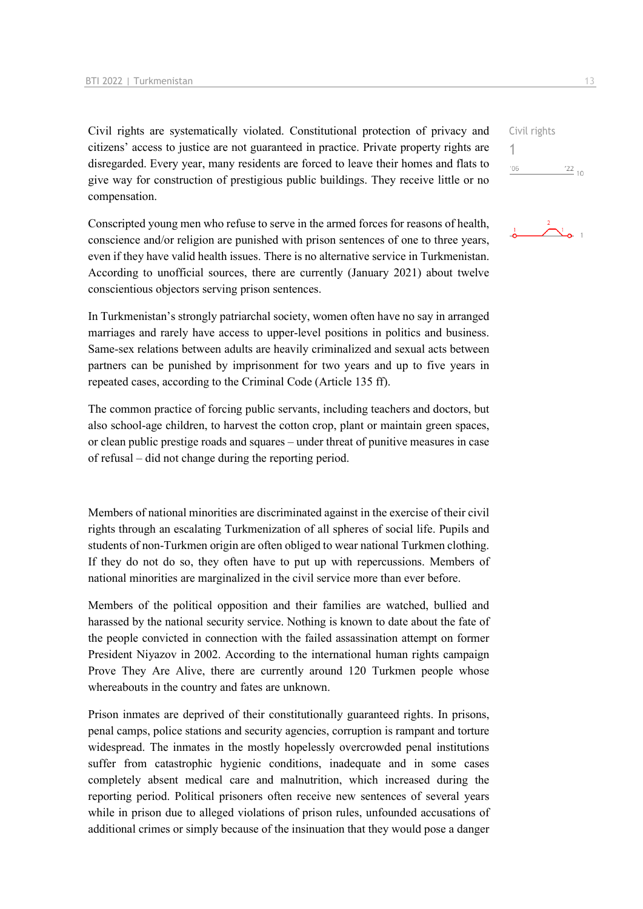Civil rights are systematically violated. Constitutional protection of privacy and citizens' access to justice are not guaranteed in practice. Private property rights are disregarded. Every year, many residents are forced to leave their homes and flats to give way for construction of prestigious public buildings. They receive little or no compensation.

Conscripted young men who refuse to serve in the armed forces for reasons of health, conscience and/or religion are punished with prison sentences of one to three years, even if they have valid health issues. There is no alternative service in Turkmenistan. According to unofficial sources, there are currently (January 2021) about twelve conscientious objectors serving prison sentences.

In Turkmenistan's strongly patriarchal society, women often have no say in arranged marriages and rarely have access to upper-level positions in politics and business. Same-sex relations between adults are heavily criminalized and sexual acts between partners can be punished by imprisonment for two years and up to five years in repeated cases, according to the Criminal Code (Article 135 ff).

The common practice of forcing public servants, including teachers and doctors, but also school-age children, to harvest the cotton crop, plant or maintain green spaces, or clean public prestige roads and squares – under threat of punitive measures in case of refusal – did not change during the reporting period.

Members of national minorities are discriminated against in the exercise of their civil rights through an escalating Turkmenization of all spheres of social life. Pupils and students of non-Turkmen origin are often obliged to wear national Turkmen clothing. If they do not do so, they often have to put up with repercussions. Members of national minorities are marginalized in the civil service more than ever before.

Members of the political opposition and their families are watched, bullied and harassed by the national security service. Nothing is known to date about the fate of the people convicted in connection with the failed assassination attempt on former President Niyazov in 2002. According to the international human rights campaign Prove They Are Alive, there are currently around 120 Turkmen people whose whereabouts in the country and fates are unknown.

Prison inmates are deprived of their constitutionally guaranteed rights. In prisons, penal camps, police stations and security agencies, corruption is rampant and torture widespread. The inmates in the mostly hopelessly overcrowded penal institutions suffer from catastrophic hygienic conditions, inadequate and in some cases completely absent medical care and malnutrition, which increased during the reporting period. Political prisoners often receive new sentences of several years while in prison due to alleged violations of prison rules, unfounded accusations of additional crimes or simply because of the insinuation that they would pose a danger



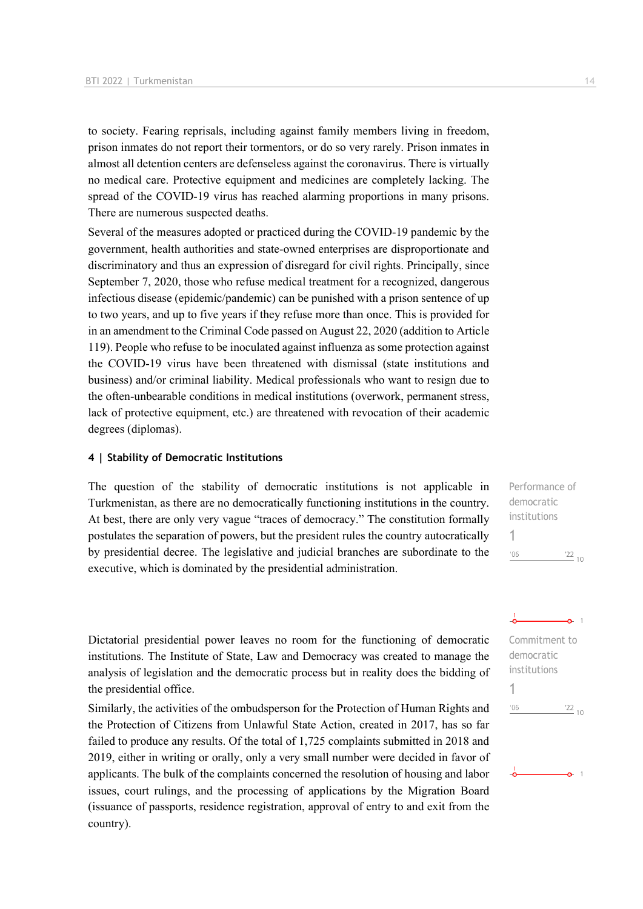to society. Fearing reprisals, including against family members living in freedom, prison inmates do not report their tormentors, or do so very rarely. Prison inmates in almost all detention centers are defenseless against the coronavirus. There is virtually no medical care. Protective equipment and medicines are completely lacking. The spread of the COVID-19 virus has reached alarming proportions in many prisons. There are numerous suspected deaths.

Several of the measures adopted or practiced during the COVID-19 pandemic by the government, health authorities and state-owned enterprises are disproportionate and discriminatory and thus an expression of disregard for civil rights. Principally, since September 7, 2020, those who refuse medical treatment for a recognized, dangerous infectious disease (epidemic/pandemic) can be punished with a prison sentence of up to two years, and up to five years if they refuse more than once. This is provided for in an amendment to the Criminal Code passed on August 22, 2020 (addition to Article 119). People who refuse to be inoculated against influenza as some protection against the COVID-19 virus have been threatened with dismissal (state institutions and business) and/or criminal liability. Medical professionals who want to resign due to the often-unbearable conditions in medical institutions (overwork, permanent stress, lack of protective equipment, etc.) are threatened with revocation of their academic degrees (diplomas).

#### **4 | Stability of Democratic Institutions**

The question of the stability of democratic institutions is not applicable in Turkmenistan, as there are no democratically functioning institutions in the country. At best, there are only very vague "traces of democracy." The constitution formally postulates the separation of powers, but the president rules the country autocratically by presidential decree. The legislative and judicial branches are subordinate to the executive, which is dominated by the presidential administration.

Performance of democratic institutions 1  $\frac{22}{10}$  $'06$ 

Commitment to democratic institutions

 $\Omega$  1

 $\frac{22}{10}$ 

1

 $'06$ 

Dictatorial presidential power leaves no room for the functioning of democratic institutions. The Institute of State, Law and Democracy was created to manage the analysis of legislation and the democratic process but in reality does the bidding of the presidential office.

Similarly, the activities of the ombudsperson for the Protection of Human Rights and the Protection of Citizens from Unlawful State Action, created in 2017, has so far failed to produce any results. Of the total of 1,725 complaints submitted in 2018 and 2019, either in writing or orally, only a very small number were decided in favor of applicants. The bulk of the complaints concerned the resolution of housing and labor issues, court rulings, and the processing of applications by the Migration Board (issuance of passports, residence registration, approval of entry to and exit from the country).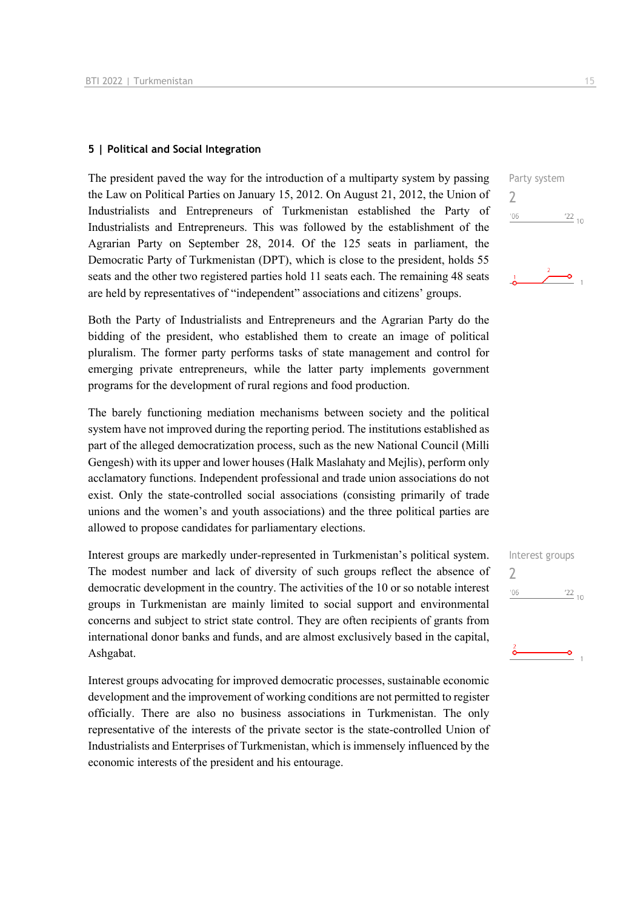#### **5 | Political and Social Integration**

The president paved the way for the introduction of a multiparty system by passing the Law on Political Parties on January 15, 2012. On August 21, 2012, the Union of Industrialists and Entrepreneurs of Turkmenistan established the Party of Industrialists and Entrepreneurs. This was followed by the establishment of the Agrarian Party on September 28, 2014. Of the 125 seats in parliament, the Democratic Party of Turkmenistan (DPT), which is close to the president, holds 55 seats and the other two registered parties hold 11 seats each. The remaining 48 seats are held by representatives of "independent" associations and citizens' groups.

Both the Party of Industrialists and Entrepreneurs and the Agrarian Party do the bidding of the president, who established them to create an image of political pluralism. The former party performs tasks of state management and control for emerging private entrepreneurs, while the latter party implements government programs for the development of rural regions and food production.

The barely functioning mediation mechanisms between society and the political system have not improved during the reporting period. The institutions established as part of the alleged democratization process, such as the new National Council (Milli Gengesh) with its upper and lower houses (Halk Maslahaty and Mejlis), perform only acclamatory functions. Independent professional and trade union associations do not exist. Only the state-controlled social associations (consisting primarily of trade unions and the women's and youth associations) and the three political parties are allowed to propose candidates for parliamentary elections.

Interest groups are markedly under-represented in Turkmenistan's political system. The modest number and lack of diversity of such groups reflect the absence of democratic development in the country. The activities of the 10 or so notable interest groups in Turkmenistan are mainly limited to social support and environmental concerns and subject to strict state control. They are often recipients of grants from international donor banks and funds, and are almost exclusively based in the capital, Ashgabat.

Interest groups advocating for improved democratic processes, sustainable economic development and the improvement of working conditions are not permitted to register officially. There are also no business associations in Turkmenistan. The only representative of the interests of the private sector is the state-controlled Union of Industrialists and Enterprises of Turkmenistan, which is immensely influenced by the economic interests of the president and his entourage.



| Interest groups |               |
|-----------------|---------------|
|                 |               |
| 106             | $^{22}_{-10}$ |
|                 |               |
|                 |               |

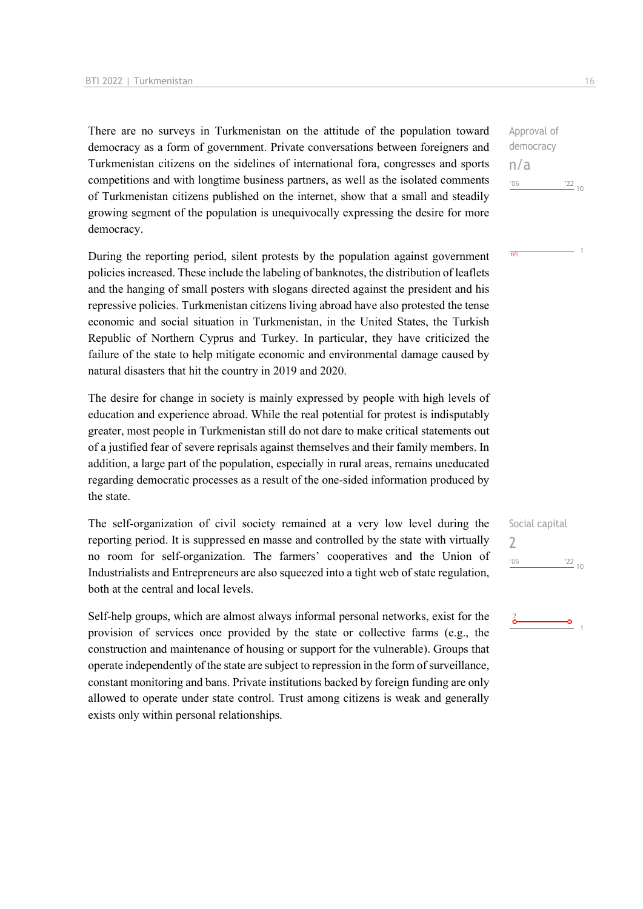There are no surveys in Turkmenistan on the attitude of the population toward democracy as a form of government. Private conversations between foreigners and Turkmenistan citizens on the sidelines of international fora, congresses and sports competitions and with longtime business partners, as well as the isolated comments of Turkmenistan citizens published on the internet, show that a small and steadily growing segment of the population is unequivocally expressing the desire for more democracy.

During the reporting period, silent protests by the population against government policies increased. These include the labeling of banknotes, the distribution of leaflets and the hanging of small posters with slogans directed against the president and his repressive policies. Turkmenistan citizens living abroad have also protested the tense economic and social situation in Turkmenistan, in the United States, the Turkish Republic of Northern Cyprus and Turkey. In particular, they have criticized the failure of the state to help mitigate economic and environmental damage caused by natural disasters that hit the country in 2019 and 2020.

The desire for change in society is mainly expressed by people with high levels of education and experience abroad. While the real potential for protest is indisputably greater, most people in Turkmenistan still do not dare to make critical statements out of a justified fear of severe reprisals against themselves and their family members. In addition, a large part of the population, especially in rural areas, remains uneducated regarding democratic processes as a result of the one-sided information produced by the state.

The self-organization of civil society remained at a very low level during the reporting period. It is suppressed en masse and controlled by the state with virtually no room for self-organization. The farmers' cooperatives and the Union of Industrialists and Entrepreneurs are also squeezed into a tight web of state regulation, both at the central and local levels.

Self-help groups, which are almost always informal personal networks, exist for the provision of services once provided by the state or collective farms (e.g., the construction and maintenance of housing or support for the vulnerable). Groups that operate independently of the state are subject to repression in the form of surveillance, constant monitoring and bans. Private institutions backed by foreign funding are only allowed to operate under state control. Trust among citizens is weak and generally exists only within personal relationships.

Approval of democracy n/a  $^{\prime}06$  $\frac{22}{10}$ 

 $\overline{n/a}$ 

Social capital  $\overline{\phantom{0}}$  $^{\prime}06$  $\frac{22}{10}$ 

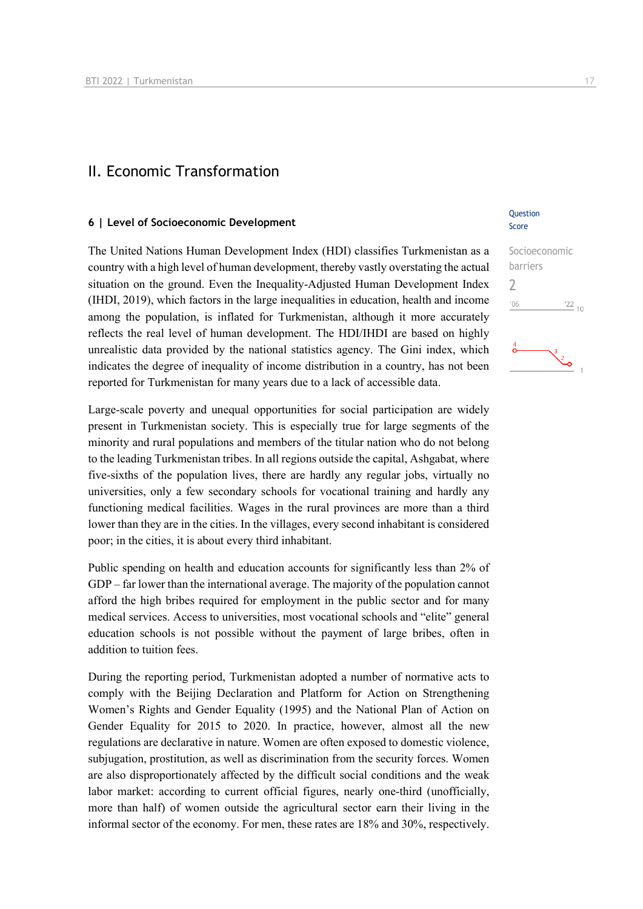### II. Economic Transformation

#### **6 | Level of Socioeconomic Development**

The United Nations Human Development Index (HDI) classifies Turkmenistan as a country with a high level of human development, thereby vastly overstating the actual situation on the ground. Even the Inequality-Adjusted Human Development Index (IHDI, 2019), which factors in the large inequalities in education, health and income among the population, is inflated for Turkmenistan, although it more accurately reflects the real level of human development. The HDI/IHDI are based on highly unrealistic data provided by the national statistics agency. The Gini index, which indicates the degree of inequality of income distribution in a country, has not been reported for Turkmenistan for many years due to a lack of accessible data.

Large-scale poverty and unequal opportunities for social participation are widely present in Turkmenistan society. This is especially true for large segments of the minority and rural populations and members of the titular nation who do not belong to the leading Turkmenistan tribes. In all regions outside the capital, Ashgabat, where five-sixths of the population lives, there are hardly any regular jobs, virtually no universities, only a few secondary schools for vocational training and hardly any functioning medical facilities. Wages in the rural provinces are more than a third lower than they are in the cities. In the villages, every second inhabitant is considered poor; in the cities, it is about every third inhabitant.

Public spending on health and education accounts for significantly less than 2% of GDP – far lower than the international average. The majority of the population cannot afford the high bribes required for employment in the public sector and for many medical services. Access to universities, most vocational schools and "elite" general education schools is not possible without the payment of large bribes, often in addition to tuition fees.

During the reporting period, Turkmenistan adopted a number of normative acts to comply with the Beijing Declaration and Platform for Action on Strengthening Women's Rights and Gender Equality (1995) and the National Plan of Action on Gender Equality for 2015 to 2020. In practice, however, almost all the new regulations are declarative in nature. Women are often exposed to domestic violence, subjugation, prostitution, as well as discrimination from the security forces. Women are also disproportionately affected by the difficult social conditions and the weak labor market: according to current official figures, nearly one-third (unofficially, more than half) of women outside the agricultural sector earn their living in the informal sector of the economy. For men, these rates are 18% and 30%, respectively.

#### **Ouestion** Score

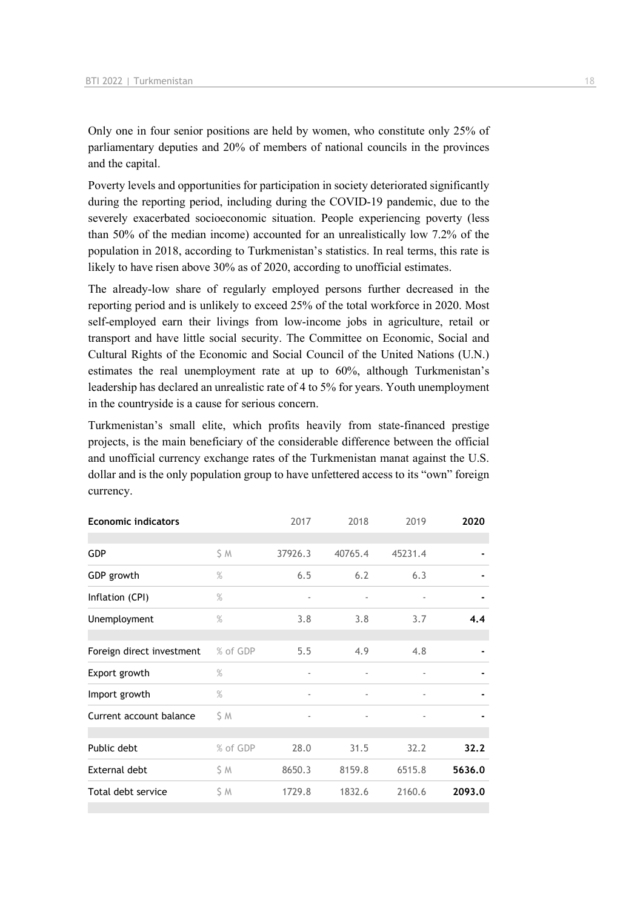Only one in four senior positions are held by women, who constitute only 25% of parliamentary deputies and 20% of members of national councils in the provinces and the capital.

Poverty levels and opportunities for participation in society deteriorated significantly during the reporting period, including during the COVID-19 pandemic, due to the severely exacerbated socioeconomic situation. People experiencing poverty (less than 50% of the median income) accounted for an unrealistically low 7.2% of the population in 2018, according to Turkmenistan's statistics. In real terms, this rate is likely to have risen above 30% as of 2020, according to unofficial estimates.

The already-low share of regularly employed persons further decreased in the reporting period and is unlikely to exceed 25% of the total workforce in 2020. Most self-employed earn their livings from low-income jobs in agriculture, retail or transport and have little social security. The Committee on Economic, Social and Cultural Rights of the Economic and Social Council of the United Nations (U.N.) estimates the real unemployment rate at up to 60%, although Turkmenistan's leadership has declared an unrealistic rate of 4 to 5% for years. Youth unemployment in the countryside is a cause for serious concern.

Turkmenistan's small elite, which profits heavily from state-financed prestige projects, is the main beneficiary of the considerable difference between the official and unofficial currency exchange rates of the Turkmenistan manat against the U.S. dollar and is the only population group to have unfettered access to its "own" foreign currency.

| <b>Economic indicators</b> |               | 2017                     | 2018                         | 2019                     | 2020   |
|----------------------------|---------------|--------------------------|------------------------------|--------------------------|--------|
|                            |               |                          |                              |                          |        |
| <b>GDP</b>                 | \$ M          | 37926.3                  | 40765.4                      | 45231.4                  |        |
| GDP growth                 | $\%$          | 6.5                      | 6.2                          | 6.3                      |        |
| Inflation (CPI)            | $\%$          | $\overline{\phantom{m}}$ | $\overline{\phantom{0}}$     |                          |        |
| Unemployment               | $\%$          | 3.8                      | 3.8                          | 3.7                      | 4.4    |
|                            |               |                          |                              |                          |        |
| Foreign direct investment  | % of GDP      | 5.5                      | 4.9                          | 4.8                      |        |
| Export growth              | $\%$          | $\overline{\phantom{m}}$ |                              | $\overline{\phantom{a}}$ |        |
| Import growth              | $\frac{9}{6}$ | $\overline{\phantom{a}}$ | $\overline{\phantom{a}}$     | $\overline{\phantom{a}}$ |        |
| Current account balance    | \$ M          | $\overline{\phantom{m}}$ | $\qquad \qquad \blacksquare$ | $\overline{\phantom{a}}$ |        |
|                            |               |                          |                              |                          |        |
| Public debt                | % of GDP      | 28.0                     | 31.5                         | 32.2                     | 32.2   |
| External debt              | S M           | 8650.3                   | 8159.8                       | 6515.8                   | 5636.0 |
| Total debt service         | S M           | 1729.8                   | 1832.6                       | 2160.6                   | 2093.0 |
|                            |               |                          |                              |                          |        |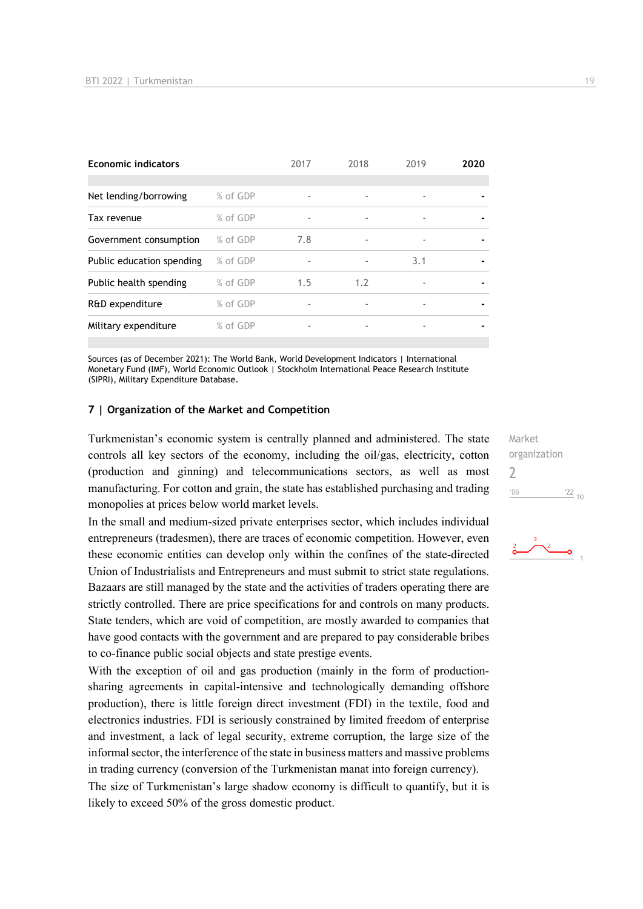| <b>Economic indicators</b> |          | 2017 | 2018                     | 2019                     | 2020 |
|----------------------------|----------|------|--------------------------|--------------------------|------|
|                            |          |      |                          |                          |      |
| Net lending/borrowing      | % of GDP | ٠    |                          |                          |      |
| Tax revenue                | % of GDP | ٠    |                          | $\overline{a}$           |      |
| Government consumption     | % of GDP | 7.8  | $\overline{\phantom{a}}$ | $\overline{\phantom{a}}$ |      |
| Public education spending  | % of GDP | ۰    |                          | 3.1                      |      |
| Public health spending     | % of GDP | 1.5  | 1.2                      |                          |      |
| R&D expenditure            | % of GDP |      |                          |                          |      |
| Military expenditure       | % of GDP | ٠    | ٠                        | ٠                        |      |

Sources (as of December 2021): The World Bank, World Development Indicators | International Monetary Fund (IMF), World Economic Outlook | Stockholm International Peace Research Institute (SIPRI), Military Expenditure Database.

#### **7 | Organization of the Market and Competition**

Turkmenistan's economic system is centrally planned and administered. The state controls all key sectors of the economy, including the oil/gas, electricity, cotton (production and ginning) and telecommunications sectors, as well as most manufacturing. For cotton and grain, the state has established purchasing and trading monopolies at prices below world market levels.

In the small and medium-sized private enterprises sector, which includes individual entrepreneurs (tradesmen), there are traces of economic competition. However, even these economic entities can develop only within the confines of the state-directed Union of Industrialists and Entrepreneurs and must submit to strict state regulations. Bazaars are still managed by the state and the activities of traders operating there are strictly controlled. There are price specifications for and controls on many products. State tenders, which are void of competition, are mostly awarded to companies that have good contacts with the government and are prepared to pay considerable bribes to co-finance public social objects and state prestige events.

With the exception of oil and gas production (mainly in the form of productionsharing agreements in capital-intensive and technologically demanding offshore production), there is little foreign direct investment (FDI) in the textile, food and electronics industries. FDI is seriously constrained by limited freedom of enterprise and investment, a lack of legal security, extreme corruption, the large size of the informal sector, the interference of the state in business matters and massive problems in trading currency (conversion of the Turkmenistan manat into foreign currency).

The size of Turkmenistan's large shadow economy is difficult to quantify, but it is likely to exceed 50% of the gross domestic product.

Market organization 2 $'06$  $\frac{22}{10}$ 

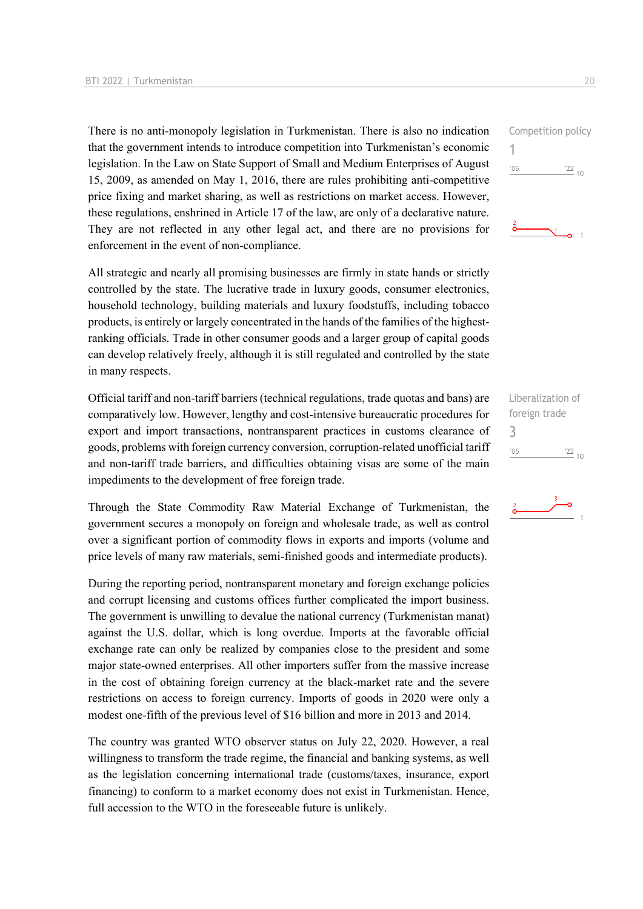There is no anti-monopoly legislation in Turkmenistan. There is also no indication that the government intends to introduce competition into Turkmenistan's economic legislation. In the Law on State Support of Small and Medium Enterprises of August 15, 2009, as amended on May 1, 2016, there are rules prohibiting anti-competitive price fixing and market sharing, as well as restrictions on market access. However, these regulations, enshrined in Article 17 of the law, are only of a declarative nature. They are not reflected in any other legal act, and there are no provisions for enforcement in the event of non-compliance.

All strategic and nearly all promising businesses are firmly in state hands or strictly controlled by the state. The lucrative trade in luxury goods, consumer electronics, household technology, building materials and luxury foodstuffs, including tobacco products, is entirely or largely concentrated in the hands of the families of the highestranking officials. Trade in other consumer goods and a larger group of capital goods can develop relatively freely, although it is still regulated and controlled by the state in many respects.

Official tariff and non-tariff barriers (technical regulations, trade quotas and bans) are comparatively low. However, lengthy and cost-intensive bureaucratic procedures for export and import transactions, nontransparent practices in customs clearance of goods, problems with foreign currency conversion, corruption-related unofficial tariff and non-tariff trade barriers, and difficulties obtaining visas are some of the main impediments to the development of free foreign trade.

Through the State Commodity Raw Material Exchange of Turkmenistan, the government secures a monopoly on foreign and wholesale trade, as well as control over a significant portion of commodity flows in exports and imports (volume and price levels of many raw materials, semi-finished goods and intermediate products).

During the reporting period, nontransparent monetary and foreign exchange policies and corrupt licensing and customs offices further complicated the import business. The government is unwilling to devalue the national currency (Turkmenistan manat) against the U.S. dollar, which is long overdue. Imports at the favorable official exchange rate can only be realized by companies close to the president and some major state-owned enterprises. All other importers suffer from the massive increase in the cost of obtaining foreign currency at the black-market rate and the severe restrictions on access to foreign currency. Imports of goods in 2020 were only a modest one-fifth of the previous level of \$16 billion and more in 2013 and 2014.

The country was granted WTO observer status on July 22, 2020. However, a real willingness to transform the trade regime, the financial and banking systems, as well as the legislation concerning international trade (customs/taxes, insurance, export financing) to conform to a market economy does not exist in Turkmenistan. Hence, full accession to the WTO in the foreseeable future is unlikely.



Liberalization of foreign trade 3 $'06$  $\frac{22}{10}$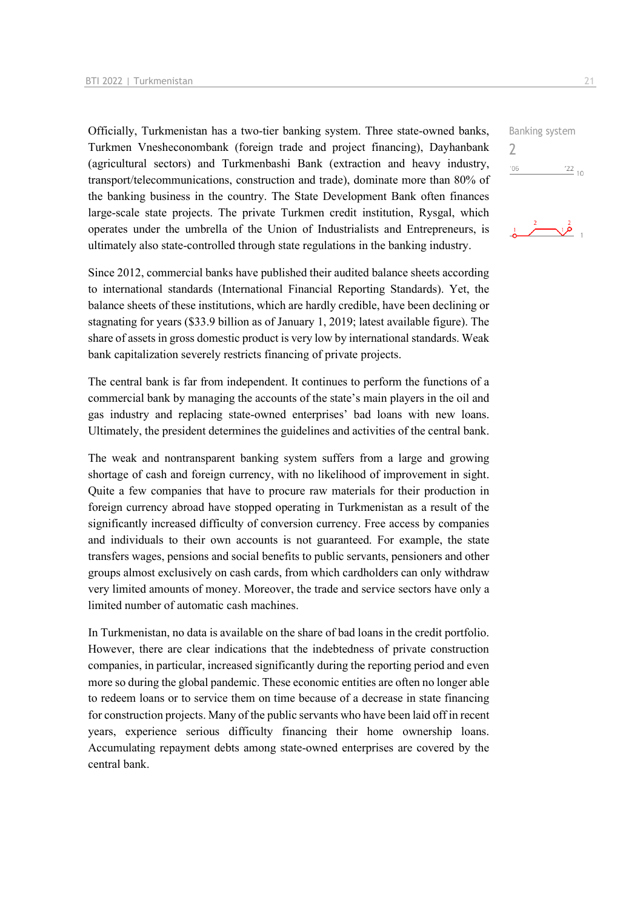Officially, Turkmenistan has a two-tier banking system. Three state-owned banks, Turkmen Vnesheconombank (foreign trade and project financing), Dayhanbank (agricultural sectors) and Turkmenbashi Bank (extraction and heavy industry, transport/telecommunications, construction and trade), dominate more than 80% of the banking business in the country. The State Development Bank often finances large-scale state projects. The private Turkmen credit institution, Rysgal, which operates under the umbrella of the Union of Industrialists and Entrepreneurs, is ultimately also state-controlled through state regulations in the banking industry.

Since 2012, commercial banks have published their audited balance sheets according to international standards (International Financial Reporting Standards). Yet, the balance sheets of these institutions, which are hardly credible, have been declining or stagnating for years (\$33.9 billion as of January 1, 2019; latest available figure). The share of assets in gross domestic product is very low by international standards. Weak bank capitalization severely restricts financing of private projects.

The central bank is far from independent. It continues to perform the functions of a commercial bank by managing the accounts of the state's main players in the oil and gas industry and replacing state-owned enterprises' bad loans with new loans. Ultimately, the president determines the guidelines and activities of the central bank.

The weak and nontransparent banking system suffers from a large and growing shortage of cash and foreign currency, with no likelihood of improvement in sight. Quite a few companies that have to procure raw materials for their production in foreign currency abroad have stopped operating in Turkmenistan as a result of the significantly increased difficulty of conversion currency. Free access by companies and individuals to their own accounts is not guaranteed. For example, the state transfers wages, pensions and social benefits to public servants, pensioners and other groups almost exclusively on cash cards, from which cardholders can only withdraw very limited amounts of money. Moreover, the trade and service sectors have only a limited number of automatic cash machines.

In Turkmenistan, no data is available on the share of bad loans in the credit portfolio. However, there are clear indications that the indebtedness of private construction companies, in particular, increased significantly during the reporting period and even more so during the global pandemic. These economic entities are often no longer able to redeem loans or to service them on time because of a decrease in state financing for construction projects. Many of the public servants who have been laid off in recent years, experience serious difficulty financing their home ownership loans. Accumulating repayment debts among state-owned enterprises are covered by the central bank.



 $\nabla^{\beta}$  ,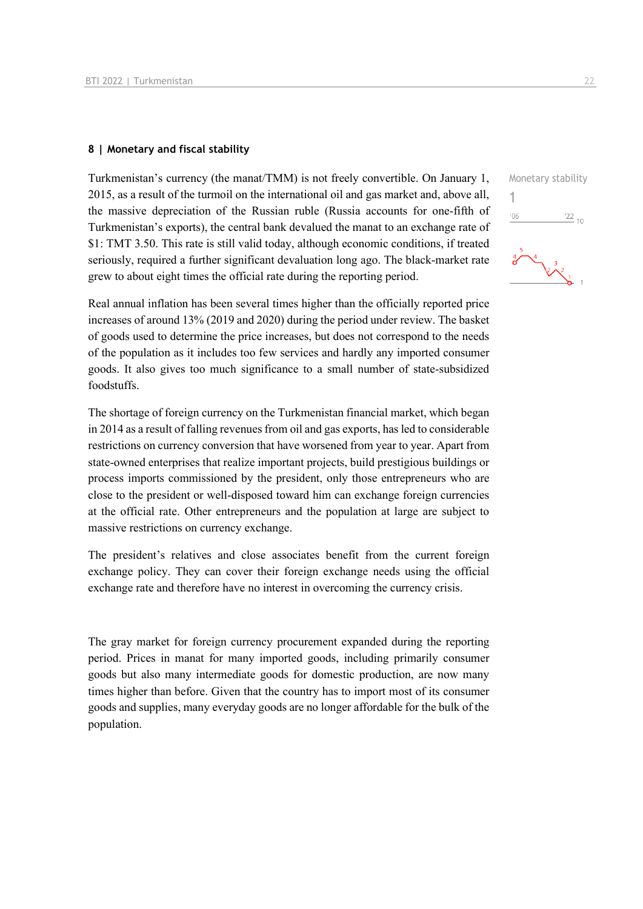#### **8 | Monetary and fiscal stability**

Turkmenistan's currency (the manat/TMM) is not freely convertible. On January 1, 2015, as a result of the turmoil on the international oil and gas market and, above all, the massive depreciation of the Russian ruble (Russia accounts for one-fifth of Turkmenistan's exports), the central bank devalued the manat to an exchange rate of \$1: TMT 3.50. This rate is still valid today, although economic conditions, if treated seriously, required a further significant devaluation long ago. The black-market rate grew to about eight times the official rate during the reporting period.

Real annual inflation has been several times higher than the officially reported price increases of around 13% (2019 and 2020) during the period under review. The basket of goods used to determine the price increases, but does not correspond to the needs of the population as it includes too few services and hardly any imported consumer goods. It also gives too much significance to a small number of state-subsidized foodstuffs.

The shortage of foreign currency on the Turkmenistan financial market, which began in 2014 as a result of falling revenues from oil and gas exports, has led to considerable restrictions on currency conversion that have worsened from year to year. Apart from state-owned enterprises that realize important projects, build prestigious buildings or process imports commissioned by the president, only those entrepreneurs who are close to the president or well-disposed toward him can exchange foreign currencies at the official rate. Other entrepreneurs and the population at large are subject to massive restrictions on currency exchange.

The president's relatives and close associates benefit from the current foreign exchange policy. They can cover their foreign exchange needs using the official exchange rate and therefore have no interest in overcoming the currency crisis.

The gray market for foreign currency procurement expanded during the reporting period. Prices in manat for many imported goods, including primarily consumer goods but also many intermediate goods for domestic production, are now many times higher than before. Given that the country has to import most of its consumer goods and supplies, many everyday goods are no longer affordable for the bulk of the population.

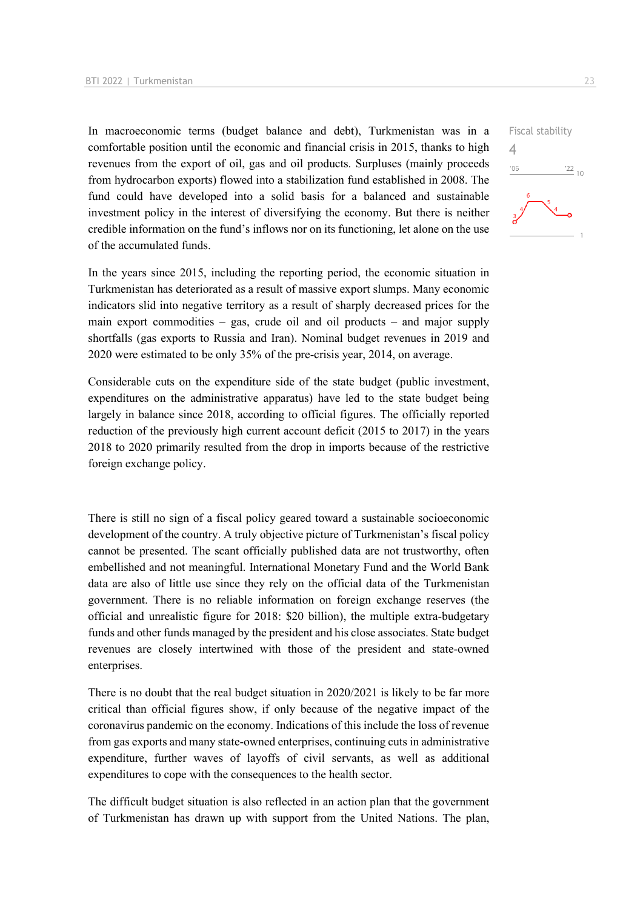In macroeconomic terms (budget balance and debt), Turkmenistan was in a comfortable position until the economic and financial crisis in 2015, thanks to high revenues from the export of oil, gas and oil products. Surpluses (mainly proceeds from hydrocarbon exports) flowed into a stabilization fund established in 2008. The fund could have developed into a solid basis for a balanced and sustainable investment policy in the interest of diversifying the economy. But there is neither credible information on the fund's inflows nor on its functioning, let alone on the use of the accumulated funds.

In the years since 2015, including the reporting period, the economic situation in Turkmenistan has deteriorated as a result of massive export slumps. Many economic indicators slid into negative territory as a result of sharply decreased prices for the main export commodities  $-$  gas, crude oil and oil products  $-$  and major supply shortfalls (gas exports to Russia and Iran). Nominal budget revenues in 2019 and 2020 were estimated to be only 35% of the pre-crisis year, 2014, on average.

Considerable cuts on the expenditure side of the state budget (public investment, expenditures on the administrative apparatus) have led to the state budget being largely in balance since 2018, according to official figures. The officially reported reduction of the previously high current account deficit (2015 to 2017) in the years 2018 to 2020 primarily resulted from the drop in imports because of the restrictive foreign exchange policy.

There is still no sign of a fiscal policy geared toward a sustainable socioeconomic development of the country. A truly objective picture of Turkmenistan's fiscal policy cannot be presented. The scant officially published data are not trustworthy, often embellished and not meaningful. International Monetary Fund and the World Bank data are also of little use since they rely on the official data of the Turkmenistan government. There is no reliable information on foreign exchange reserves (the official and unrealistic figure for 2018: \$20 billion), the multiple extra-budgetary funds and other funds managed by the president and his close associates. State budget revenues are closely intertwined with those of the president and state-owned enterprises.

There is no doubt that the real budget situation in 2020/2021 is likely to be far more critical than official figures show, if only because of the negative impact of the coronavirus pandemic on the economy. Indications of this include the loss of revenue from gas exports and many state-owned enterprises, continuing cuts in administrative expenditure, further waves of layoffs of civil servants, as well as additional expenditures to cope with the consequences to the health sector.

The difficult budget situation is also reflected in an action plan that the government of Turkmenistan has drawn up with support from the United Nations. The plan,

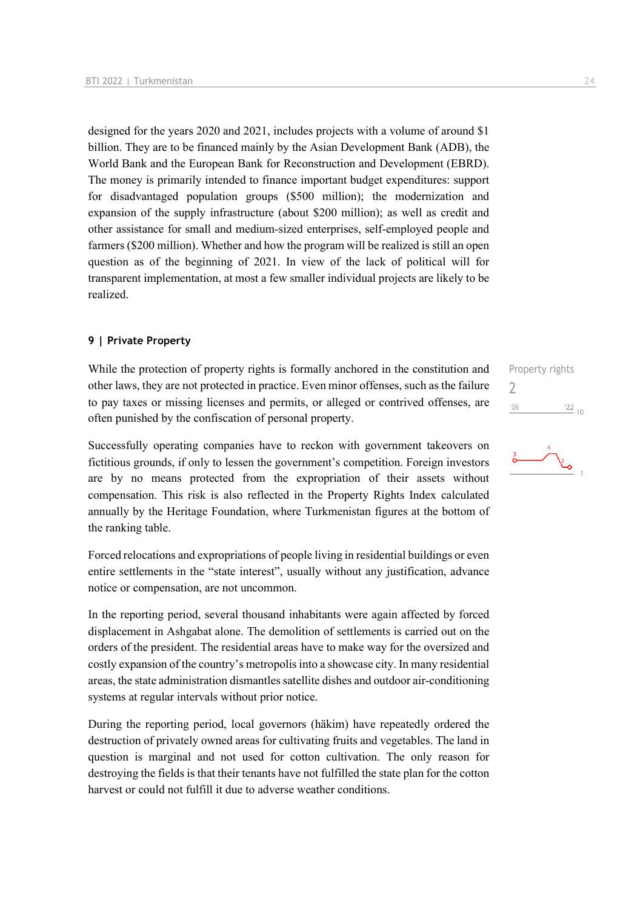designed for the years 2020 and 2021, includes projects with a volume of around \$1 billion. They are to be financed mainly by the Asian Development Bank (ADB), the World Bank and the European Bank for Reconstruction and Development (EBRD). The money is primarily intended to finance important budget expenditures: support for disadvantaged population groups (\$500 million); the modernization and expansion of the supply infrastructure (about \$200 million); as well as credit and other assistance for small and medium-sized enterprises, self-employed people and farmers (\$200 million). Whether and how the program will be realized is still an open question as of the beginning of 2021. In view of the lack of political will for transparent implementation, at most a few smaller individual projects are likely to be realized.

#### **9 | Private Property**

While the protection of property rights is formally anchored in the constitution and other laws, they are not protected in practice. Even minor offenses, such as the failure to pay taxes or missing licenses and permits, or alleged or contrived offenses, are often punished by the confiscation of personal property.

Successfully operating companies have to reckon with government takeovers on fictitious grounds, if only to lessen the government's competition. Foreign investors are by no means protected from the expropriation of their assets without compensation. This risk is also reflected in the Property Rights Index calculated annually by the Heritage Foundation, where Turkmenistan figures at the bottom of the ranking table.

Forced relocations and expropriations of people living in residential buildings or even entire settlements in the "state interest", usually without any justification, advance notice or compensation, are not uncommon.

In the reporting period, several thousand inhabitants were again affected by forced displacement in Ashgabat alone. The demolition of settlements is carried out on the orders of the president. The residential areas have to make way for the oversized and costly expansion of the country's metropolis into a showcase city. In many residential areas, the state administration dismantles satellite dishes and outdoor air-conditioning systems at regular intervals without prior notice.

During the reporting period, local governors (häkim) have repeatedly ordered the destruction of privately owned areas for cultivating fruits and vegetables. The land in question is marginal and not used for cotton cultivation. The only reason for destroying the fields is that their tenants have not fulfilled the state plan for the cotton harvest or could not fulfill it due to adverse weather conditions.

Property rights  $\overline{\phantom{0}}$  $^{\prime}06$  $\frac{22}{10}$ 

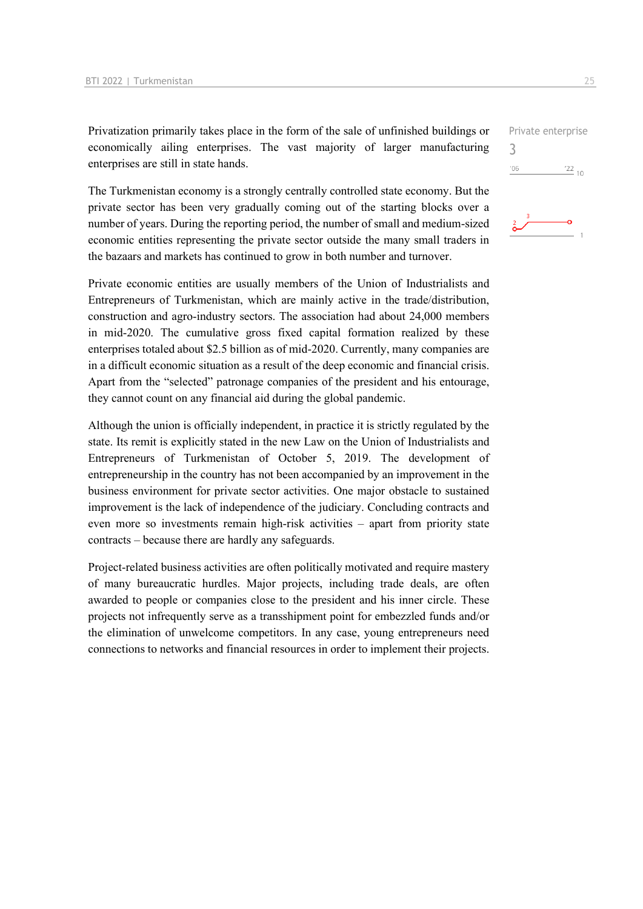Privatization primarily takes place in the form of the sale of unfinished buildings or economically ailing enterprises. The vast majority of larger manufacturing enterprises are still in state hands.

The Turkmenistan economy is a strongly centrally controlled state economy. But the private sector has been very gradually coming out of the starting blocks over a number of years. During the reporting period, the number of small and medium-sized economic entities representing the private sector outside the many small traders in the bazaars and markets has continued to grow in both number and turnover.

Private economic entities are usually members of the Union of Industrialists and Entrepreneurs of Turkmenistan, which are mainly active in the trade/distribution, construction and agro-industry sectors. The association had about 24,000 members in mid-2020. The cumulative gross fixed capital formation realized by these enterprises totaled about \$2.5 billion as of mid-2020. Currently, many companies are in a difficult economic situation as a result of the deep economic and financial crisis. Apart from the "selected" patronage companies of the president and his entourage, they cannot count on any financial aid during the global pandemic.

Although the union is officially independent, in practice it is strictly regulated by the state. Its remit is explicitly stated in the new Law on the Union of Industrialists and Entrepreneurs of Turkmenistan of October 5, 2019. The development of entrepreneurship in the country has not been accompanied by an improvement in the business environment for private sector activities. One major obstacle to sustained improvement is the lack of independence of the judiciary. Concluding contracts and even more so investments remain high-risk activities – apart from priority state contracts – because there are hardly any safeguards.

Project-related business activities are often politically motivated and require mastery of many bureaucratic hurdles. Major projects, including trade deals, are often awarded to people or companies close to the president and his inner circle. These projects not infrequently serve as a transshipment point for embezzled funds and/or the elimination of unwelcome competitors. In any case, young entrepreneurs need connections to networks and financial resources in order to implement their projects.

Private enterprise 3 $\frac{22}{10}$  $^{\prime}06$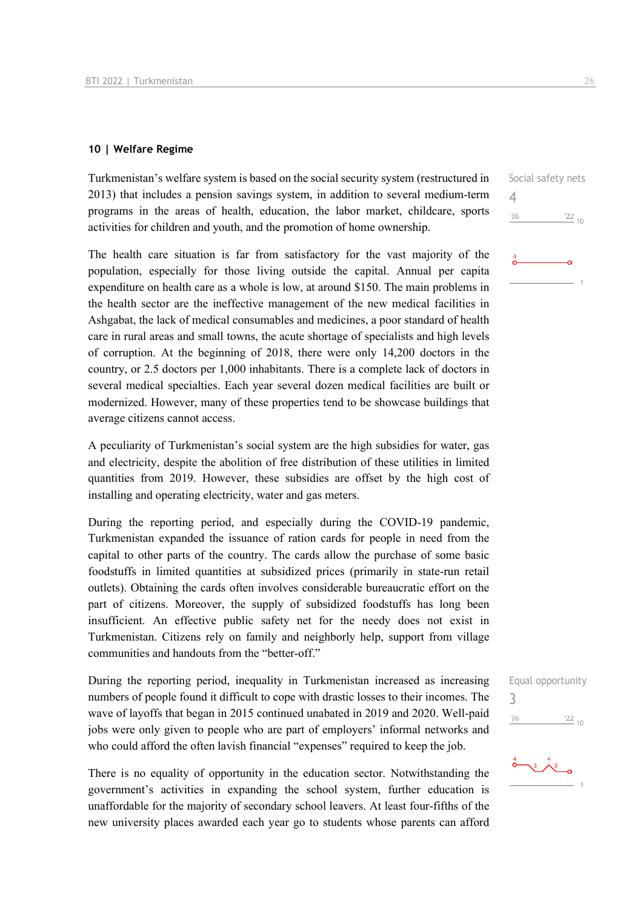#### **10 | Welfare Regime**

Turkmenistan's welfare system is based on the social security system (restructured in 2013) that includes a pension savings system, in addition to several medium-term programs in the areas of health, education, the labor market, childcare, sports activities for children and youth, and the promotion of home ownership.

The health care situation is far from satisfactory for the vast majority of the population, especially for those living outside the capital. Annual per capita expenditure on health care as a whole is low, at around \$150. The main problems in the health sector are the ineffective management of the new medical facilities in Ashgabat, the lack of medical consumables and medicines, a poor standard of health care in rural areas and small towns, the acute shortage of specialists and high levels of corruption. At the beginning of 2018, there were only 14,200 doctors in the country, or 2.5 doctors per 1,000 inhabitants. There is a complete lack of doctors in several medical specialties. Each year several dozen medical facilities are built or modernized. However, many of these properties tend to be showcase buildings that average citizens cannot access.

A peculiarity of Turkmenistan's social system are the high subsidies for water, gas and electricity, despite the abolition of free distribution of these utilities in limited quantities from 2019. However, these subsidies are offset by the high cost of installing and operating electricity, water and gas meters.

During the reporting period, and especially during the COVID-19 pandemic, Turkmenistan expanded the issuance of ration cards for people in need from the capital to other parts of the country. The cards allow the purchase of some basic foodstuffs in limited quantities at subsidized prices (primarily in state-run retail outlets). Obtaining the cards often involves considerable bureaucratic effort on the part of citizens. Moreover, the supply of subsidized foodstuffs has long been insufficient. An effective public safety net for the needy does not exist in Turkmenistan. Citizens rely on family and neighborly help, support from village communities and handouts from the "better-off."

During the reporting period, inequality in Turkmenistan increased as increasing numbers of people found it difficult to cope with drastic losses to their incomes. The wave of layoffs that began in 2015 continued unabated in 2019 and 2020. Well-paid jobs were only given to people who are part of employers' informal networks and who could afford the often lavish financial "expenses" required to keep the job.

There is no equality of opportunity in the education sector. Notwithstanding the government's activities in expanding the school system, further education is unaffordable for the majority of secondary school leavers. At least four-fifths of the new university places awarded each year go to students whose parents can afford  $^{22}$  10

 $\Delta$ 

 $'06$ 

|                | Equal opportunity |
|----------------|-------------------|
| 3              |                   |
| $^{\prime}$ 06 | $122_{10}$        |
|                |                   |

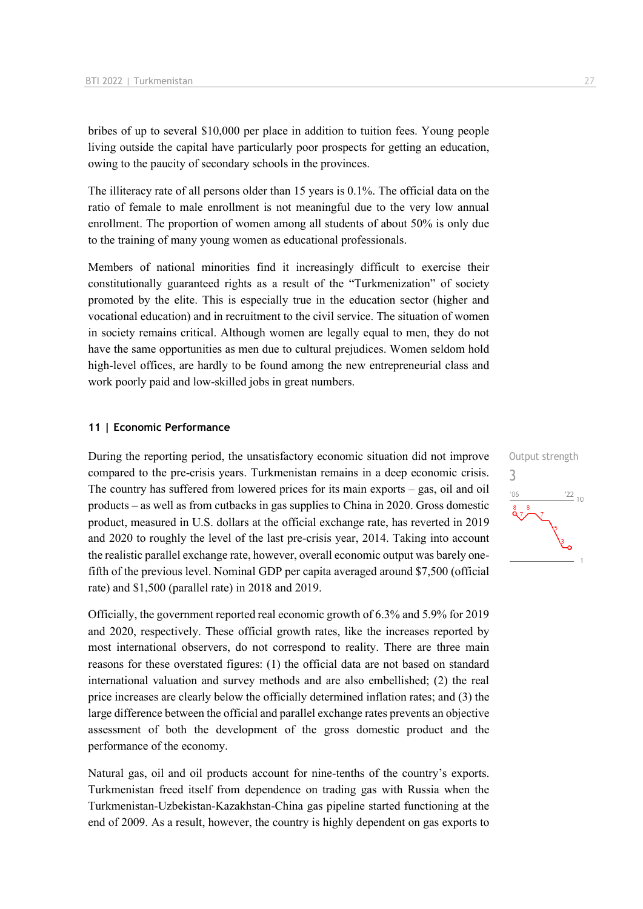bribes of up to several \$10,000 per place in addition to tuition fees. Young people living outside the capital have particularly poor prospects for getting an education, owing to the paucity of secondary schools in the provinces.

The illiteracy rate of all persons older than 15 years is 0.1%. The official data on the ratio of female to male enrollment is not meaningful due to the very low annual enrollment. The proportion of women among all students of about 50% is only due to the training of many young women as educational professionals.

Members of national minorities find it increasingly difficult to exercise their constitutionally guaranteed rights as a result of the "Turkmenization" of society promoted by the elite. This is especially true in the education sector (higher and vocational education) and in recruitment to the civil service. The situation of women in society remains critical. Although women are legally equal to men, they do not have the same opportunities as men due to cultural prejudices. Women seldom hold high-level offices, are hardly to be found among the new entrepreneurial class and work poorly paid and low-skilled jobs in great numbers.

#### **11 | Economic Performance**

During the reporting period, the unsatisfactory economic situation did not improve compared to the pre-crisis years. Turkmenistan remains in a deep economic crisis. The country has suffered from lowered prices for its main exports – gas, oil and oil products – as well as from cutbacks in gas supplies to China in 2020. Gross domestic product, measured in U.S. dollars at the official exchange rate, has reverted in 2019 and 2020 to roughly the level of the last pre-crisis year, 2014. Taking into account the realistic parallel exchange rate, however, overall economic output was barely onefifth of the previous level. Nominal GDP per capita averaged around \$7,500 (official rate) and \$1,500 (parallel rate) in 2018 and 2019.

Officially, the government reported real economic growth of 6.3% and 5.9% for 2019 and 2020, respectively. These official growth rates, like the increases reported by most international observers, do not correspond to reality. There are three main reasons for these overstated figures: (1) the official data are not based on standard international valuation and survey methods and are also embellished; (2) the real price increases are clearly below the officially determined inflation rates; and (3) the large difference between the official and parallel exchange rates prevents an objective assessment of both the development of the gross domestic product and the performance of the economy.

Natural gas, oil and oil products account for nine-tenths of the country's exports. Turkmenistan freed itself from dependence on trading gas with Russia when the Turkmenistan-Uzbekistan-Kazakhstan-China gas pipeline started functioning at the end of 2009. As a result, however, the country is highly dependent on gas exports to

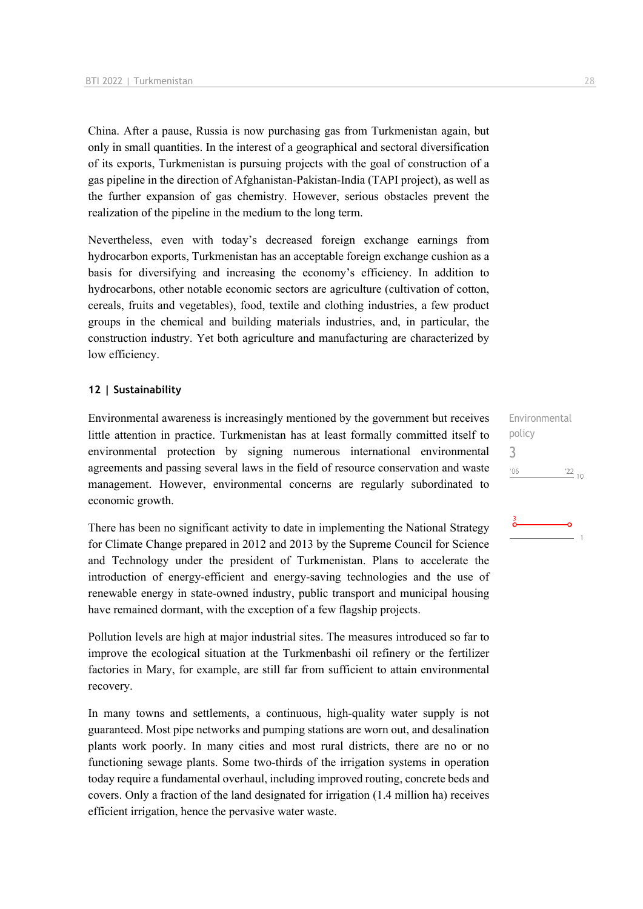China. After a pause, Russia is now purchasing gas from Turkmenistan again, but only in small quantities. In the interest of a geographical and sectoral diversification of its exports, Turkmenistan is pursuing projects with the goal of construction of a gas pipeline in the direction of Afghanistan-Pakistan-India (TAPI project), as well as the further expansion of gas chemistry. However, serious obstacles prevent the realization of the pipeline in the medium to the long term.

Nevertheless, even with today's decreased foreign exchange earnings from hydrocarbon exports, Turkmenistan has an acceptable foreign exchange cushion as a basis for diversifying and increasing the economy's efficiency. In addition to hydrocarbons, other notable economic sectors are agriculture (cultivation of cotton, cereals, fruits and vegetables), food, textile and clothing industries, a few product groups in the chemical and building materials industries, and, in particular, the construction industry. Yet both agriculture and manufacturing are characterized by low efficiency.

#### **12 | Sustainability**

Environmental awareness is increasingly mentioned by the government but receives little attention in practice. Turkmenistan has at least formally committed itself to environmental protection by signing numerous international environmental agreements and passing several laws in the field of resource conservation and waste management. However, environmental concerns are regularly subordinated to economic growth.

There has been no significant activity to date in implementing the National Strategy for Climate Change prepared in 2012 and 2013 by the Supreme Council for Science and Technology under the president of Turkmenistan. Plans to accelerate the introduction of energy-efficient and energy-saving technologies and the use of renewable energy in state-owned industry, public transport and municipal housing have remained dormant, with the exception of a few flagship projects.

Pollution levels are high at major industrial sites. The measures introduced so far to improve the ecological situation at the Turkmenbashi oil refinery or the fertilizer factories in Mary, for example, are still far from sufficient to attain environmental recovery.

In many towns and settlements, a continuous, high-quality water supply is not guaranteed. Most pipe networks and pumping stations are worn out, and desalination plants work poorly. In many cities and most rural districts, there are no or no functioning sewage plants. Some two-thirds of the irrigation systems in operation today require a fundamental overhaul, including improved routing, concrete beds and covers. Only a fraction of the land designated for irrigation (1.4 million ha) receives efficient irrigation, hence the pervasive water waste.

Environmental policy 3 $-06$  $\frac{22}{10}$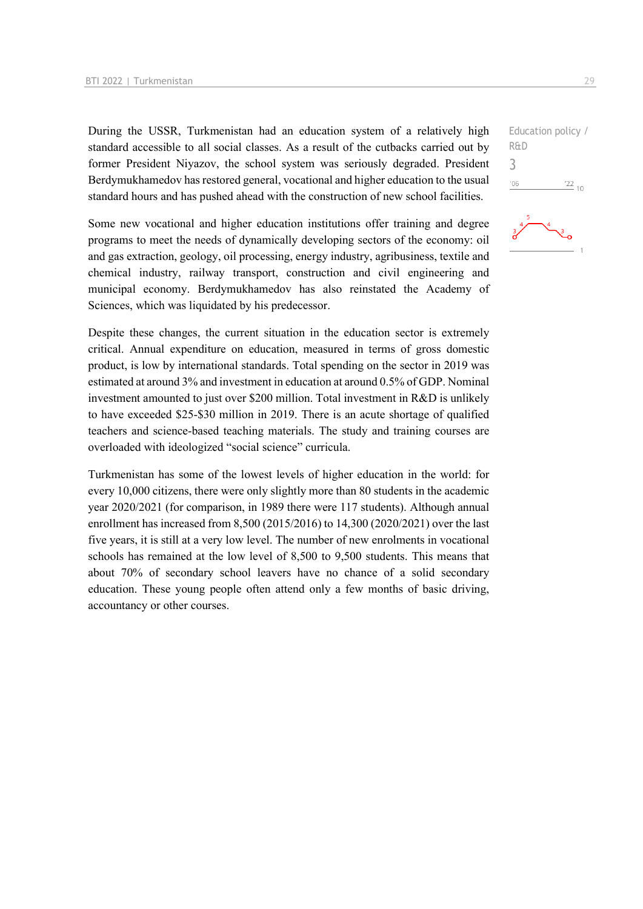During the USSR, Turkmenistan had an education system of a relatively high standard accessible to all social classes. As a result of the cutbacks carried out by former President Niyazov, the school system was seriously degraded. President Berdymukhamedov has restored general, vocational and higher education to the usual standard hours and has pushed ahead with the construction of new school facilities.

Some new vocational and higher education institutions offer training and degree programs to meet the needs of dynamically developing sectors of the economy: oil and gas extraction, geology, oil processing, energy industry, agribusiness, textile and chemical industry, railway transport, construction and civil engineering and municipal economy. Berdymukhamedov has also reinstated the Academy of Sciences, which was liquidated by his predecessor.

Despite these changes, the current situation in the education sector is extremely critical. Annual expenditure on education, measured in terms of gross domestic product, is low by international standards. Total spending on the sector in 2019 was estimated at around 3% and investment in education at around 0.5% of GDP. Nominal investment amounted to just over \$200 million. Total investment in R&D is unlikely to have exceeded \$25-\$30 million in 2019. There is an acute shortage of qualified teachers and science-based teaching materials. The study and training courses are overloaded with ideologized "social science" curricula.

Turkmenistan has some of the lowest levels of higher education in the world: for every 10,000 citizens, there were only slightly more than 80 students in the academic year 2020/2021 (for comparison, in 1989 there were 117 students). Although annual enrollment has increased from 8,500 (2015/2016) to 14,300 (2020/2021) over the last five years, it is still at a very low level. The number of new enrolments in vocational schools has remained at the low level of 8,500 to 9,500 students. This means that about 70% of secondary school leavers have no chance of a solid secondary education. These young people often attend only a few months of basic driving, accountancy or other courses.

Education policy / R&D 3 $-06$  $^{22}$  10

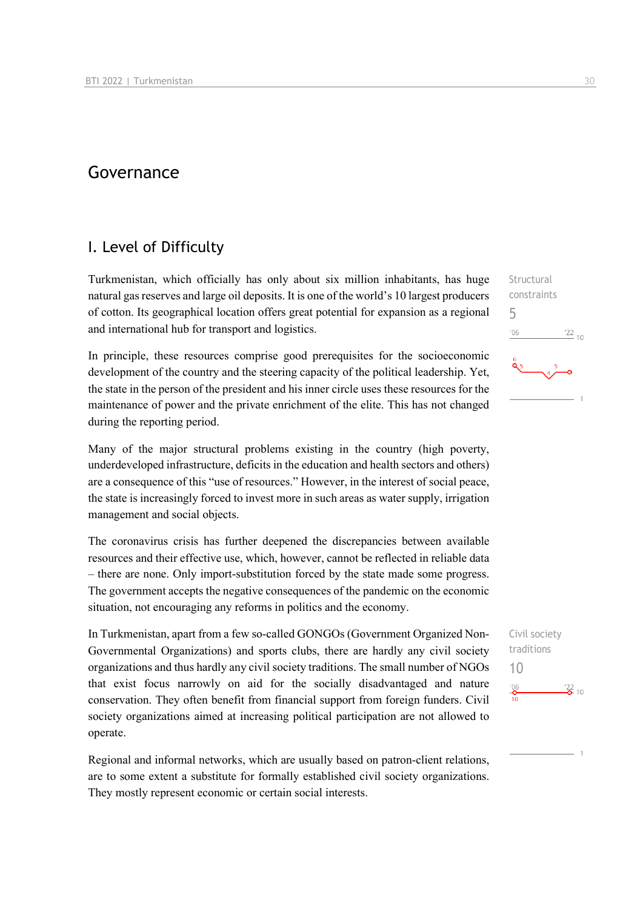# Governance

# I. Level of Difficulty

Turkmenistan, which officially has only about six million inhabitants, has huge natural gas reserves and large oil deposits. It is one of the world's 10 largest producers of cotton. Its geographical location offers great potential for expansion as a regional and international hub for transport and logistics.

In principle, these resources comprise good prerequisites for the socioeconomic development of the country and the steering capacity of the political leadership. Yet, the state in the person of the president and his inner circle uses these resources for the maintenance of power and the private enrichment of the elite. This has not changed during the reporting period.

Many of the major structural problems existing in the country (high poverty, underdeveloped infrastructure, deficits in the education and health sectors and others) are a consequence of this "use of resources." However, in the interest of social peace, the state is increasingly forced to invest more in such areas as water supply, irrigation management and social objects.

The coronavirus crisis has further deepened the discrepancies between available resources and their effective use, which, however, cannot be reflected in reliable data – there are none. Only import-substitution forced by the state made some progress. The government accepts the negative consequences of the pandemic on the economic situation, not encouraging any reforms in politics and the economy.

In Turkmenistan, apart from a few so-called GONGOs (Government Organized Non-Governmental Organizations) and sports clubs, there are hardly any civil society organizations and thus hardly any civil society traditions. The small number of NGOs that exist focus narrowly on aid for the socially disadvantaged and nature conservation. They often benefit from financial support from foreign funders. Civil society organizations aimed at increasing political participation are not allowed to operate.

Regional and informal networks, which are usually based on patron-client relations, are to some extent a substitute for formally established civil society organizations. They mostly represent economic or certain social interests.

**Structural** constraints 5  $106$  $\frac{22}{10}$ 

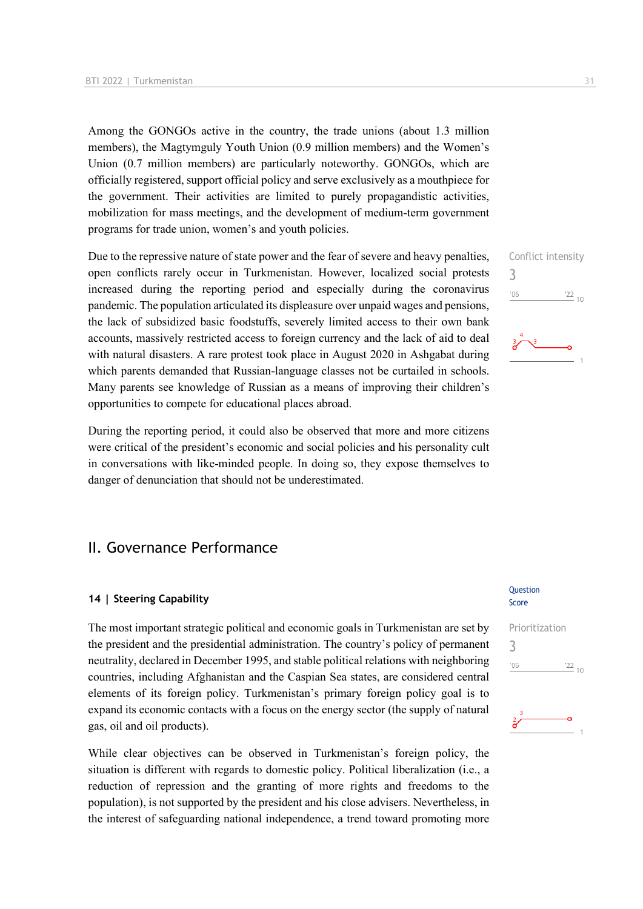Among the GONGOs active in the country, the trade unions (about 1.3 million members), the Magtymguly Youth Union (0.9 million members) and the Women's Union (0.7 million members) are particularly noteworthy. GONGOs, which are officially registered, support official policy and serve exclusively as a mouthpiece for the government. Their activities are limited to purely propagandistic activities, mobilization for mass meetings, and the development of medium-term government programs for trade union, women's and youth policies.

Due to the repressive nature of state power and the fear of severe and heavy penalties, open conflicts rarely occur in Turkmenistan. However, localized social protests increased during the reporting period and especially during the coronavirus pandemic. The population articulated its displeasure over unpaid wages and pensions, the lack of subsidized basic foodstuffs, severely limited access to their own bank accounts, massively restricted access to foreign currency and the lack of aid to deal with natural disasters. A rare protest took place in August 2020 in Ashgabat during which parents demanded that Russian-language classes not be curtailed in schools. Many parents see knowledge of Russian as a means of improving their children's opportunities to compete for educational places abroad.

During the reporting period, it could also be observed that more and more citizens were critical of the president's economic and social policies and his personality cult in conversations with like-minded people. In doing so, they expose themselves to danger of denunciation that should not be underestimated.

# II. Governance Performance

#### **14 | Steering Capability**

The most important strategic political and economic goals in Turkmenistan are set by the president and the presidential administration. The country's policy of permanent neutrality, declared in December 1995, and stable political relations with neighboring countries, including Afghanistan and the Caspian Sea states, are considered central elements of its foreign policy. Turkmenistan's primary foreign policy goal is to expand its economic contacts with a focus on the energy sector (the supply of natural gas, oil and oil products).

While clear objectives can be observed in Turkmenistan's foreign policy, the situation is different with regards to domestic policy. Political liberalization (i.e., a reduction of repression and the granting of more rights and freedoms to the population), is not supported by the president and his close advisers. Nevertheless, in the interest of safeguarding national independence, a trend toward promoting more

#### **Question** Score

# Prioritization 3 $\frac{22}{10}$  $106$



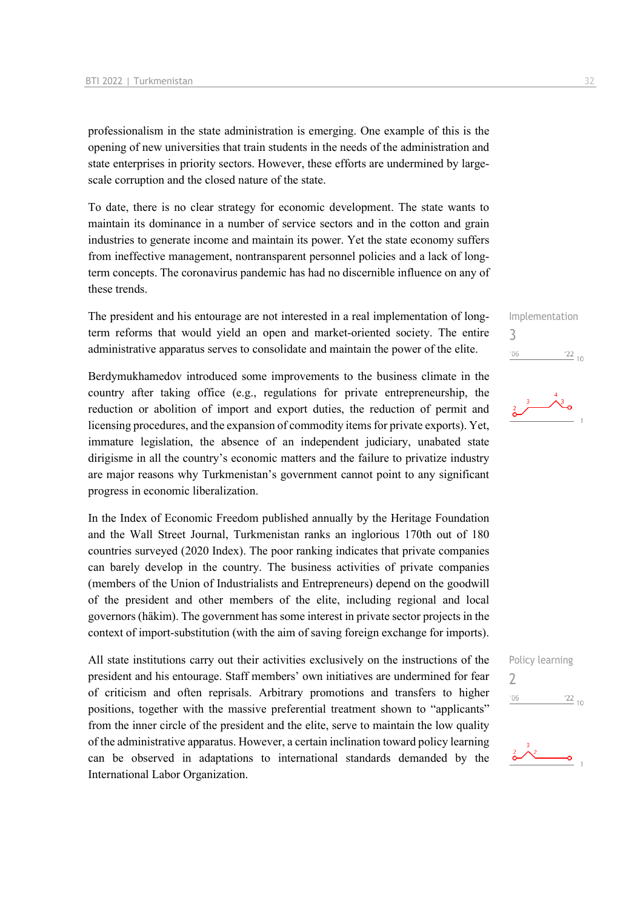professionalism in the state administration is emerging. One example of this is the opening of new universities that train students in the needs of the administration and state enterprises in priority sectors. However, these efforts are undermined by largescale corruption and the closed nature of the state.

To date, there is no clear strategy for economic development. The state wants to maintain its dominance in a number of service sectors and in the cotton and grain industries to generate income and maintain its power. Yet the state economy suffers from ineffective management, nontransparent personnel policies and a lack of longterm concepts. The coronavirus pandemic has had no discernible influence on any of these trends.

The president and his entourage are not interested in a real implementation of longterm reforms that would yield an open and market-oriented society. The entire administrative apparatus serves to consolidate and maintain the power of the elite.

Berdymukhamedov introduced some improvements to the business climate in the country after taking office (e.g., regulations for private entrepreneurship, the reduction or abolition of import and export duties, the reduction of permit and licensing procedures, and the expansion of commodity items for private exports). Yet, immature legislation, the absence of an independent judiciary, unabated state dirigisme in all the country's economic matters and the failure to privatize industry are major reasons why Turkmenistan's government cannot point to any significant progress in economic liberalization.

In the Index of Economic Freedom published annually by the Heritage Foundation and the Wall Street Journal, Turkmenistan ranks an inglorious 170th out of 180 countries surveyed (2020 Index). The poor ranking indicates that private companies can barely develop in the country. The business activities of private companies (members of the Union of Industrialists and Entrepreneurs) depend on the goodwill of the president and other members of the elite, including regional and local governors (häkim). The government has some interest in private sector projects in the context of import-substitution (with the aim of saving foreign exchange for imports).

All state institutions carry out their activities exclusively on the instructions of the president and his entourage. Staff members' own initiatives are undermined for fear of criticism and often reprisals. Arbitrary promotions and transfers to higher positions, together with the massive preferential treatment shown to "applicants" from the inner circle of the president and the elite, serve to maintain the low quality of the administrative apparatus. However, a certain inclination toward policy learning can be observed in adaptations to international standards demanded by the International Labor Organization.

Implementation 3  $^{\prime}06$  $\frac{22}{10}$ 



Policy learning  $\overline{\phantom{0}}$  $^{\prime}06$  $\frac{22}{10}$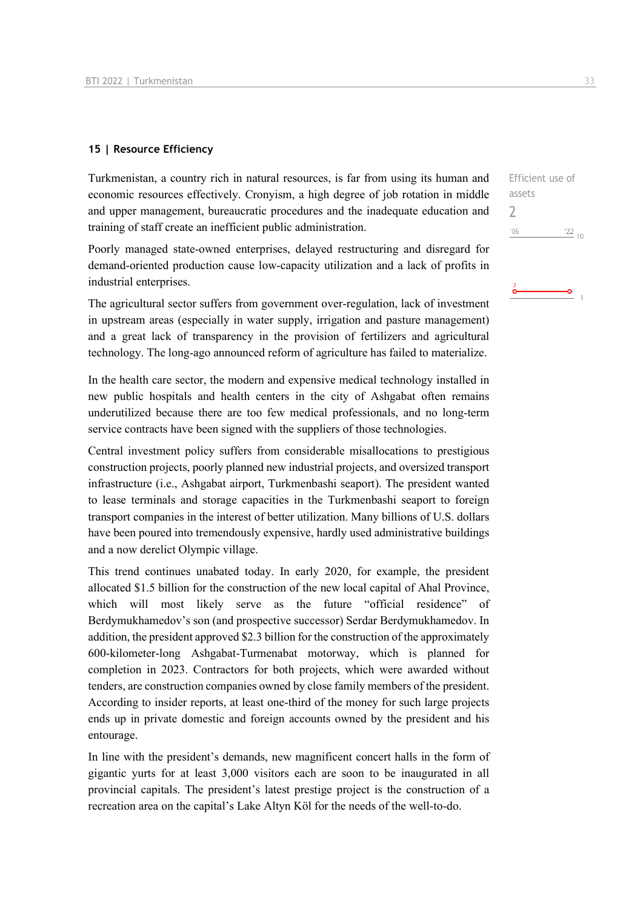#### **15 | Resource Efficiency**

Turkmenistan, a country rich in natural resources, is far from using its human and economic resources effectively. Cronyism, a high degree of job rotation in middle and upper management, bureaucratic procedures and the inadequate education and training of staff create an inefficient public administration.

Poorly managed state-owned enterprises, delayed restructuring and disregard for demand-oriented production cause low-capacity utilization and a lack of profits in industrial enterprises.

The agricultural sector suffers from government over-regulation, lack of investment in upstream areas (especially in water supply, irrigation and pasture management) and a great lack of transparency in the provision of fertilizers and agricultural technology. The long-ago announced reform of agriculture has failed to materialize.

In the health care sector, the modern and expensive medical technology installed in new public hospitals and health centers in the city of Ashgabat often remains underutilized because there are too few medical professionals, and no long-term service contracts have been signed with the suppliers of those technologies.

Central investment policy suffers from considerable misallocations to prestigious construction projects, poorly planned new industrial projects, and oversized transport infrastructure (i.e., Ashgabat airport, Turkmenbashi seaport). The president wanted to lease terminals and storage capacities in the Turkmenbashi seaport to foreign transport companies in the interest of better utilization. Many billions of U.S. dollars have been poured into tremendously expensive, hardly used administrative buildings and a now derelict Olympic village.

This trend continues unabated today. In early 2020, for example, the president allocated \$1.5 billion for the construction of the new local capital of Ahal Province, which will most likely serve as the future "official residence" of Berdymukhamedov's son (and prospective successor) Serdar Berdymukhamedov. In addition, the president approved \$2.3 billion for the construction of the approximately 600-kilometer-long Ashgabat-Turmenabat motorway, which is planned for completion in 2023. Contractors for both projects, which were awarded without tenders, are construction companies owned by close family members of the president. According to insider reports, at least one-third of the money for such large projects ends up in private domestic and foreign accounts owned by the president and his entourage.

In line with the president's demands, new magnificent concert halls in the form of gigantic yurts for at least 3,000 visitors each are soon to be inaugurated in all provincial capitals. The president's latest prestige project is the construction of a recreation area on the capital's Lake Altyn Köl for the needs of the well-to-do.

Efficient use of

 $\frac{22}{10}$ 

assets 2

 $06'$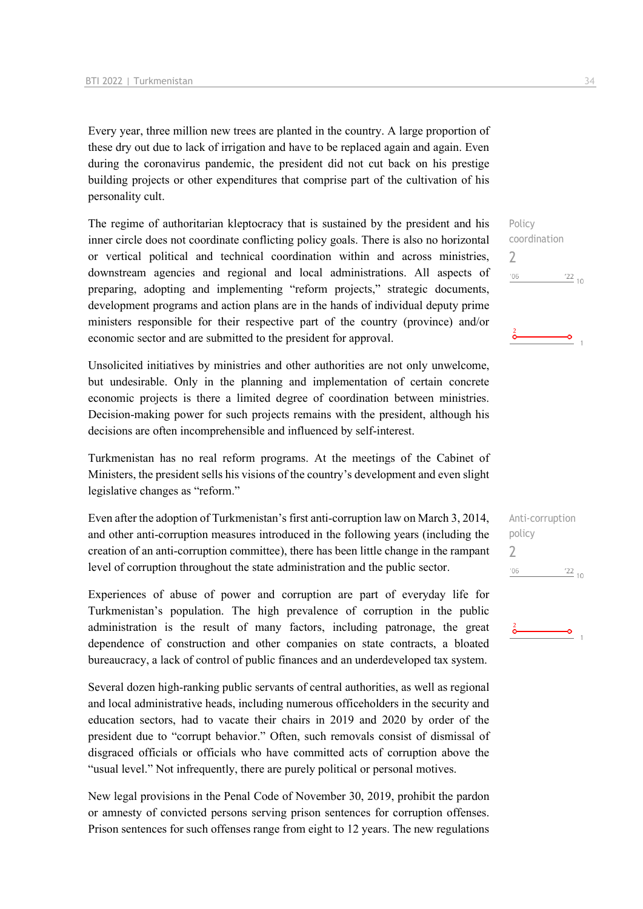Every year, three million new trees are planted in the country. A large proportion of these dry out due to lack of irrigation and have to be replaced again and again. Even during the coronavirus pandemic, the president did not cut back on his prestige building projects or other expenditures that comprise part of the cultivation of his personality cult.

The regime of authoritarian kleptocracy that is sustained by the president and his inner circle does not coordinate conflicting policy goals. There is also no horizontal or vertical political and technical coordination within and across ministries, downstream agencies and regional and local administrations. All aspects of preparing, adopting and implementing "reform projects," strategic documents, development programs and action plans are in the hands of individual deputy prime ministers responsible for their respective part of the country (province) and/or economic sector and are submitted to the president for approval.

Unsolicited initiatives by ministries and other authorities are not only unwelcome, but undesirable. Only in the planning and implementation of certain concrete economic projects is there a limited degree of coordination between ministries. Decision-making power for such projects remains with the president, although his decisions are often incomprehensible and influenced by self-interest.

Turkmenistan has no real reform programs. At the meetings of the Cabinet of Ministers, the president sells his visions of the country's development and even slight legislative changes as "reform."

Even after the adoption of Turkmenistan's first anti-corruption law on March 3, 2014, and other anti-corruption measures introduced in the following years (including the creation of an anti-corruption committee), there has been little change in the rampant level of corruption throughout the state administration and the public sector.

Experiences of abuse of power and corruption are part of everyday life for Turkmenistan's population. The high prevalence of corruption in the public administration is the result of many factors, including patronage, the great dependence of construction and other companies on state contracts, a bloated bureaucracy, a lack of control of public finances and an underdeveloped tax system.

Several dozen high-ranking public servants of central authorities, as well as regional and local administrative heads, including numerous officeholders in the security and education sectors, had to vacate their chairs in 2019 and 2020 by order of the president due to "corrupt behavior." Often, such removals consist of dismissal of disgraced officials or officials who have committed acts of corruption above the "usual level." Not infrequently, there are purely political or personal motives.

New legal provisions in the Penal Code of November 30, 2019, prohibit the pardon or amnesty of convicted persons serving prison sentences for corruption offenses. Prison sentences for such offenses range from eight to 12 years. The new regulations

Policy coordination  $\overline{\phantom{0}}$  $\frac{22}{10}$  $'06$ 

| Anti-corruption |                 |
|-----------------|-----------------|
| policy          |                 |
|                 |                 |
| 106             | $\frac{22}{10}$ |
|                 |                 |

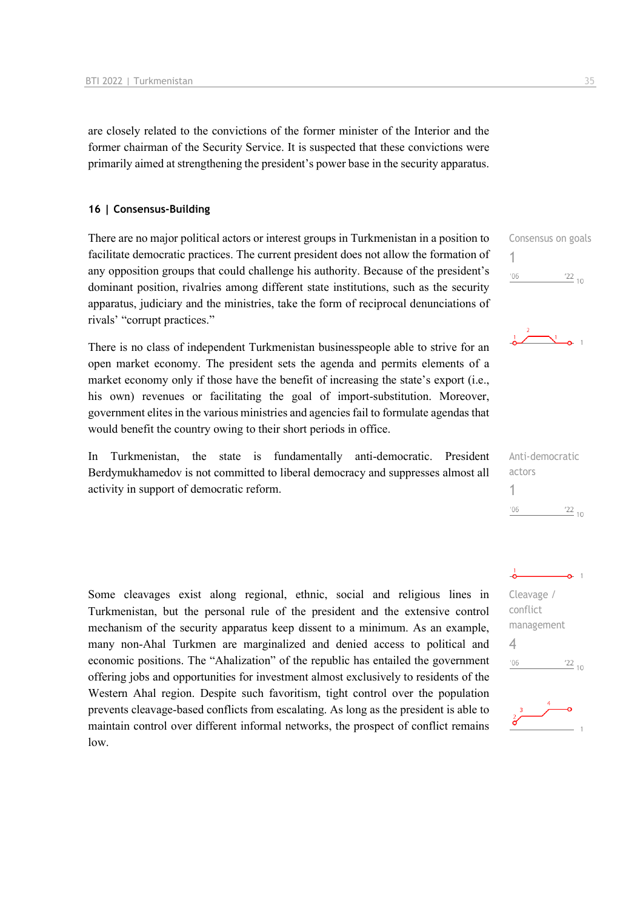are closely related to the convictions of the former minister of the Interior and the former chairman of the Security Service. It is suspected that these convictions were primarily aimed at strengthening the president's power base in the security apparatus.

#### **16 | Consensus-Building**

There are no major political actors or interest groups in Turkmenistan in a position to facilitate democratic practices. The current president does not allow the formation of any opposition groups that could challenge his authority. Because of the president's dominant position, rivalries among different state institutions, such as the security apparatus, judiciary and the ministries, take the form of reciprocal denunciations of rivals' "corrupt practices."

There is no class of independent Turkmenistan businesspeople able to strive for an open market economy. The president sets the agenda and permits elements of a market economy only if those have the benefit of increasing the state's export (i.e., his own) revenues or facilitating the goal of import-substitution. Moreover, government elites in the various ministries and agencies fail to formulate agendas that would benefit the country owing to their short periods in office.

In Turkmenistan, the state is fundamentally anti-democratic. President Berdymukhamedov is not committed to liberal democracy and suppresses almost all activity in support of democratic reform.

Some cleavages exist along regional, ethnic, social and religious lines in Turkmenistan, but the personal rule of the president and the extensive control mechanism of the security apparatus keep dissent to a minimum. As an example, many non-Ahal Turkmen are marginalized and denied access to political and economic positions. The "Ahalization" of the republic has entailed the government offering jobs and opportunities for investment almost exclusively to residents of the Western Ahal region. Despite such favoritism, tight control over the population prevents cleavage-based conflicts from escalating. As long as the president is able to maintain control over different informal networks, the prospect of conflict remains low.

Consensus on goals 1  $\frac{22}{10}$  $'06$ 



| Anti-democratic |         |
|-----------------|---------|
| actors          |         |
|                 |         |
| '06             | $'22$ , |

Cleavage / conflict management 4 $106$  $\frac{22}{10}$ 

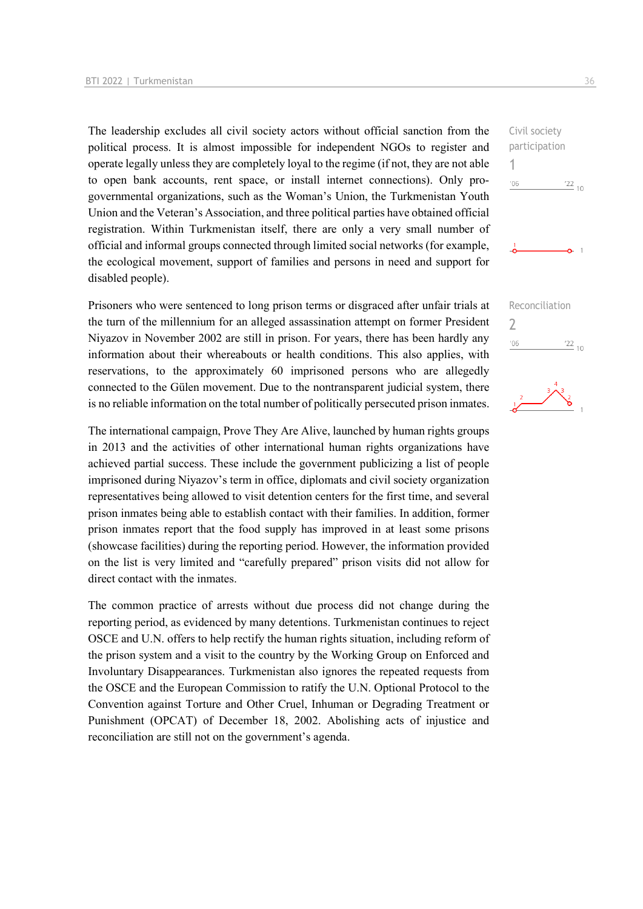The leadership excludes all civil society actors without official sanction from the political process. It is almost impossible for independent NGOs to register and operate legally unless they are completely loyal to the regime (if not, they are not able to open bank accounts, rent space, or install internet connections). Only progovernmental organizations, such as the Woman's Union, the Turkmenistan Youth Union and the Veteran's Association, and three political parties have obtained official registration. Within Turkmenistan itself, there are only a very small number of official and informal groups connected through limited social networks (for example, the ecological movement, support of families and persons in need and support for disabled people).

Prisoners who were sentenced to long prison terms or disgraced after unfair trials at the turn of the millennium for an alleged assassination attempt on former President Niyazov in November 2002 are still in prison. For years, there has been hardly any information about their whereabouts or health conditions. This also applies, with reservations, to the approximately 60 imprisoned persons who are allegedly connected to the Gülen movement. Due to the nontransparent judicial system, there is no reliable information on the total number of politically persecuted prison inmates.

The international campaign, Prove They Are Alive, launched by human rights groups in 2013 and the activities of other international human rights organizations have achieved partial success. These include the government publicizing a list of people imprisoned during Niyazov's term in office, diplomats and civil society organization representatives being allowed to visit detention centers for the first time, and several prison inmates being able to establish contact with their families. In addition, former prison inmates report that the food supply has improved in at least some prisons (showcase facilities) during the reporting period. However, the information provided on the list is very limited and "carefully prepared" prison visits did not allow for direct contact with the inmates.

The common practice of arrests without due process did not change during the reporting period, as evidenced by many detentions. Turkmenistan continues to reject OSCE and U.N. offers to help rectify the human rights situation, including reform of the prison system and a visit to the country by the Working Group on Enforced and Involuntary Disappearances. Turkmenistan also ignores the repeated requests from the OSCE and the European Commission to ratify the U.N. Optional Protocol to the Convention against Torture and Other Cruel, Inhuman or Degrading Treatment or Punishment (OPCAT) of December 18, 2002. Abolishing acts of injustice and reconciliation are still not on the government's agenda.

Civil society participation 1  $^{\prime}06$  $\frac{22}{10}$ 

Reconciliation  $\overline{\phantom{0}}$  $^{\prime}06$  $\frac{22}{10}$ 



 $\overline{1}$ Ō.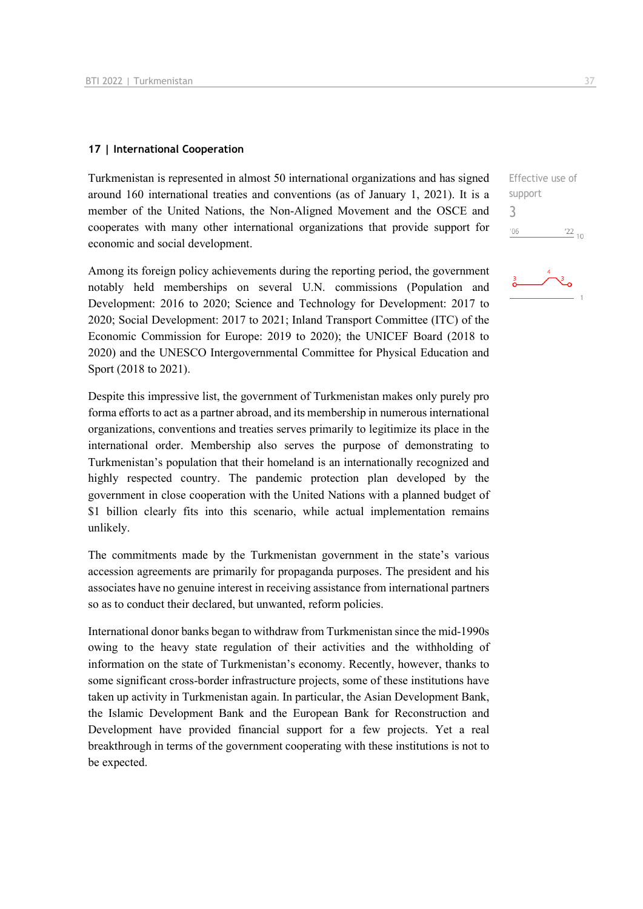#### **17 | International Cooperation**

Turkmenistan is represented in almost 50 international organizations and has signed around 160 international treaties and conventions (as of January 1, 2021). It is a member of the United Nations, the Non-Aligned Movement and the OSCE and cooperates with many other international organizations that provide support for economic and social development.

Among its foreign policy achievements during the reporting period, the government notably held memberships on several U.N. commissions (Population and Development: 2016 to 2020; Science and Technology for Development: 2017 to 2020; Social Development: 2017 to 2021; Inland Transport Committee (ITC) of the Economic Commission for Europe: 2019 to 2020); the UNICEF Board (2018 to 2020) and the UNESCO Intergovernmental Committee for Physical Education and Sport (2018 to 2021).

Despite this impressive list, the government of Turkmenistan makes only purely pro forma efforts to act as a partner abroad, and its membership in numerous international organizations, conventions and treaties serves primarily to legitimize its place in the international order. Membership also serves the purpose of demonstrating to Turkmenistan's population that their homeland is an internationally recognized and highly respected country. The pandemic protection plan developed by the government in close cooperation with the United Nations with a planned budget of \$1 billion clearly fits into this scenario, while actual implementation remains unlikely.

The commitments made by the Turkmenistan government in the state's various accession agreements are primarily for propaganda purposes. The president and his associates have no genuine interest in receiving assistance from international partners so as to conduct their declared, but unwanted, reform policies.

International donor banks began to withdraw from Turkmenistan since the mid-1990s owing to the heavy state regulation of their activities and the withholding of information on the state of Turkmenistan's economy. Recently, however, thanks to some significant cross-border infrastructure projects, some of these institutions have taken up activity in Turkmenistan again. In particular, the Asian Development Bank, the Islamic Development Bank and the European Bank for Reconstruction and Development have provided financial support for a few projects. Yet a real breakthrough in terms of the government cooperating with these institutions is not to be expected.

| Effective use of |          |
|------------------|----------|
| support          |          |
| 3                |          |
| $^{\prime}$ 06   | $122$ 10 |

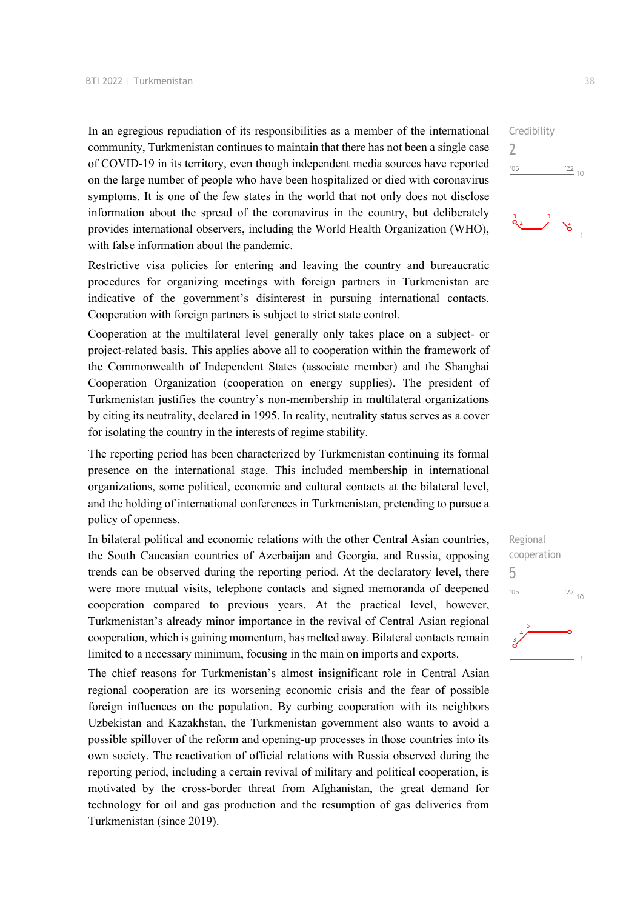In an egregious repudiation of its responsibilities as a member of the international community, Turkmenistan continues to maintain that there has not been a single case of COVID-19 in its territory, even though independent media sources have reported on the large number of people who have been hospitalized or died with coronavirus symptoms. It is one of the few states in the world that not only does not disclose information about the spread of the coronavirus in the country, but deliberately provides international observers, including the World Health Organization (WHO), with false information about the pandemic.

Restrictive visa policies for entering and leaving the country and bureaucratic procedures for organizing meetings with foreign partners in Turkmenistan are indicative of the government's disinterest in pursuing international contacts. Cooperation with foreign partners is subject to strict state control.

Cooperation at the multilateral level generally only takes place on a subject- or project-related basis. This applies above all to cooperation within the framework of the Commonwealth of Independent States (associate member) and the Shanghai Cooperation Organization (cooperation on energy supplies). The president of Turkmenistan justifies the country's non-membership in multilateral organizations by citing its neutrality, declared in 1995. In reality, neutrality status serves as a cover for isolating the country in the interests of regime stability.

The reporting period has been characterized by Turkmenistan continuing its formal presence on the international stage. This included membership in international organizations, some political, economic and cultural contacts at the bilateral level, and the holding of international conferences in Turkmenistan, pretending to pursue a policy of openness.

In bilateral political and economic relations with the other Central Asian countries, the South Caucasian countries of Azerbaijan and Georgia, and Russia, opposing trends can be observed during the reporting period. At the declaratory level, there were more mutual visits, telephone contacts and signed memoranda of deepened cooperation compared to previous years. At the practical level, however, Turkmenistan's already minor importance in the revival of Central Asian regional cooperation, which is gaining momentum, has melted away. Bilateral contacts remain limited to a necessary minimum, focusing in the main on imports and exports.

The chief reasons for Turkmenistan's almost insignificant role in Central Asian regional cooperation are its worsening economic crisis and the fear of possible foreign influences on the population. By curbing cooperation with its neighbors Uzbekistan and Kazakhstan, the Turkmenistan government also wants to avoid a possible spillover of the reform and opening-up processes in those countries into its own society. The reactivation of official relations with Russia observed during the reporting period, including a certain revival of military and political cooperation, is motivated by the cross-border threat from Afghanistan, the great demand for technology for oil and gas production and the resumption of gas deliveries from Turkmenistan (since 2019).

Credibility  $\overline{\phantom{0}}$  $06'$  $\frac{22}{10}$ 



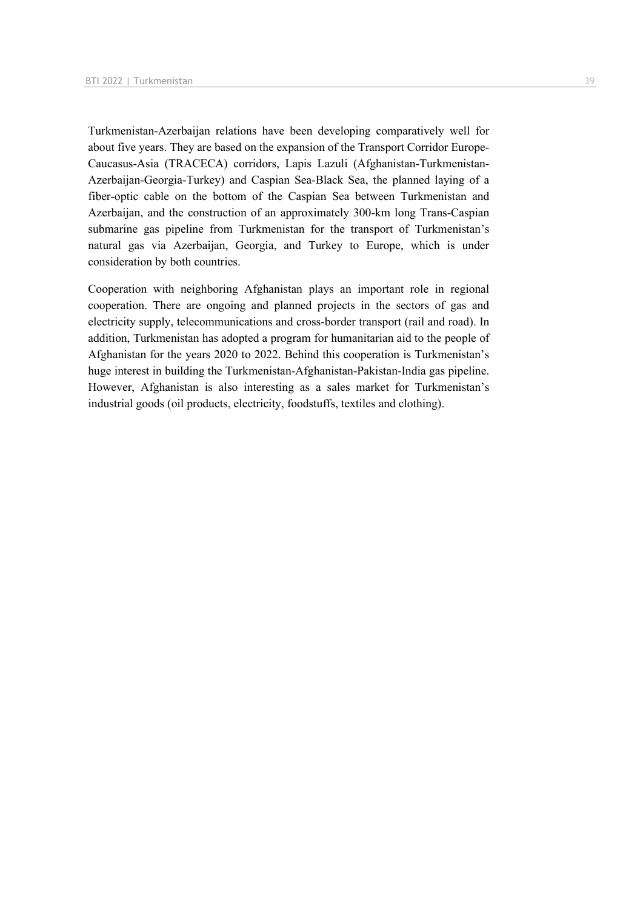Turkmenistan-Azerbaijan relations have been developing comparatively well for about five years. They are based on the expansion of the Transport Corridor Europe-Caucasus-Asia (TRACECA) corridors, Lapis Lazuli (Afghanistan-Turkmenistan-Azerbaijan-Georgia-Turkey) and Caspian Sea-Black Sea, the planned laying of a fiber-optic cable on the bottom of the Caspian Sea between Turkmenistan and Azerbaijan, and the construction of an approximately 300-km long Trans-Caspian submarine gas pipeline from Turkmenistan for the transport of Turkmenistan's natural gas via Azerbaijan, Georgia, and Turkey to Europe, which is under consideration by both countries.

Cooperation with neighboring Afghanistan plays an important role in regional cooperation. There are ongoing and planned projects in the sectors of gas and electricity supply, telecommunications and cross-border transport (rail and road). In addition, Turkmenistan has adopted a program for humanitarian aid to the people of Afghanistan for the years 2020 to 2022. Behind this cooperation is Turkmenistan's huge interest in building the Turkmenistan-Afghanistan-Pakistan-India gas pipeline. However, Afghanistan is also interesting as a sales market for Turkmenistan's industrial goods (oil products, electricity, foodstuffs, textiles and clothing).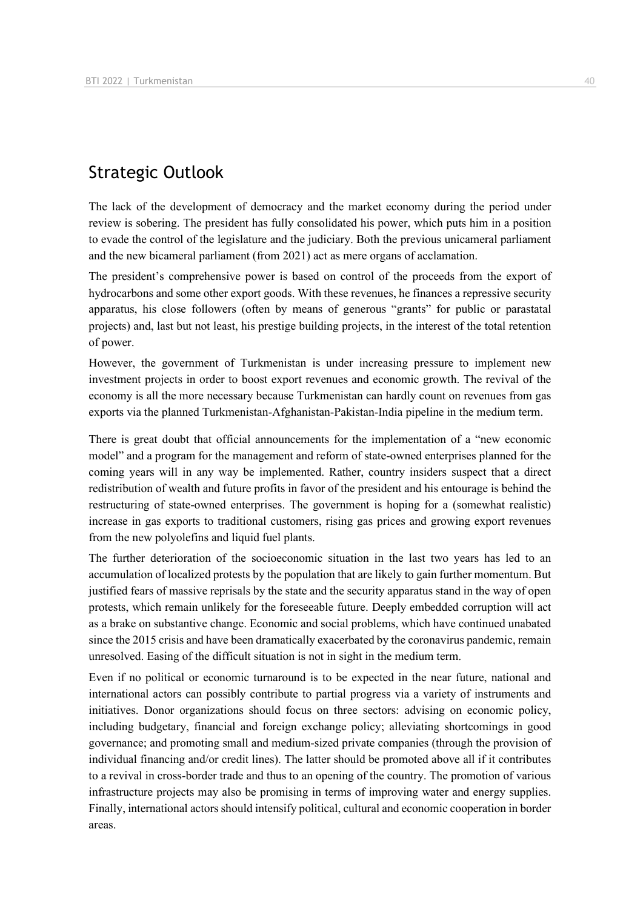# Strategic Outlook

The lack of the development of democracy and the market economy during the period under review is sobering. The president has fully consolidated his power, which puts him in a position to evade the control of the legislature and the judiciary. Both the previous unicameral parliament and the new bicameral parliament (from 2021) act as mere organs of acclamation.

The president's comprehensive power is based on control of the proceeds from the export of hydrocarbons and some other export goods. With these revenues, he finances a repressive security apparatus, his close followers (often by means of generous "grants" for public or parastatal projects) and, last but not least, his prestige building projects, in the interest of the total retention of power.

However, the government of Turkmenistan is under increasing pressure to implement new investment projects in order to boost export revenues and economic growth. The revival of the economy is all the more necessary because Turkmenistan can hardly count on revenues from gas exports via the planned Turkmenistan-Afghanistan-Pakistan-India pipeline in the medium term.

There is great doubt that official announcements for the implementation of a "new economic model" and a program for the management and reform of state-owned enterprises planned for the coming years will in any way be implemented. Rather, country insiders suspect that a direct redistribution of wealth and future profits in favor of the president and his entourage is behind the restructuring of state-owned enterprises. The government is hoping for a (somewhat realistic) increase in gas exports to traditional customers, rising gas prices and growing export revenues from the new polyolefins and liquid fuel plants.

The further deterioration of the socioeconomic situation in the last two years has led to an accumulation of localized protests by the population that are likely to gain further momentum. But justified fears of massive reprisals by the state and the security apparatus stand in the way of open protests, which remain unlikely for the foreseeable future. Deeply embedded corruption will act as a brake on substantive change. Economic and social problems, which have continued unabated since the 2015 crisis and have been dramatically exacerbated by the coronavirus pandemic, remain unresolved. Easing of the difficult situation is not in sight in the medium term.

Even if no political or economic turnaround is to be expected in the near future, national and international actors can possibly contribute to partial progress via a variety of instruments and initiatives. Donor organizations should focus on three sectors: advising on economic policy, including budgetary, financial and foreign exchange policy; alleviating shortcomings in good governance; and promoting small and medium-sized private companies (through the provision of individual financing and/or credit lines). The latter should be promoted above all if it contributes to a revival in cross-border trade and thus to an opening of the country. The promotion of various infrastructure projects may also be promising in terms of improving water and energy supplies. Finally, international actors should intensify political, cultural and economic cooperation in border areas.